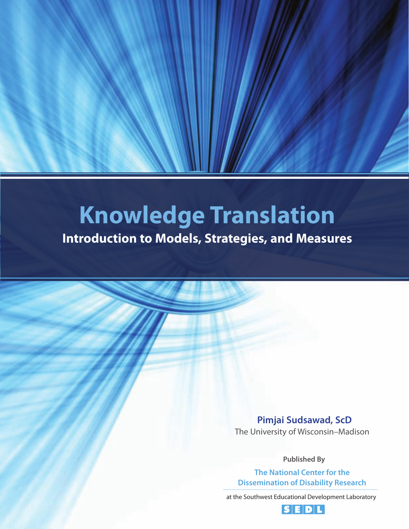# **Knowledge Translation**

**Introduction to Models, Strategies, and Measures**

**Pimjai Sudsawad, ScD**

The University of Wisconsin–Madison

**Published By**

**The National Center for the Dissemination of Disability Research**

at the Southwest Educational Development Laboratory

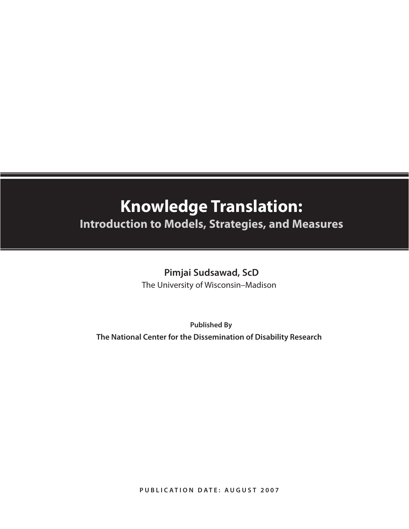# **Knowledge Translation: Introduction to Models, Strategies, and Measures**

**Pimjai Sudsawad, ScD**

The University of Wisconsin–Madison

**The National Center for the Dissemination of Disability Research Published By**

**PUBLICATION DATE: AUGUST 2007**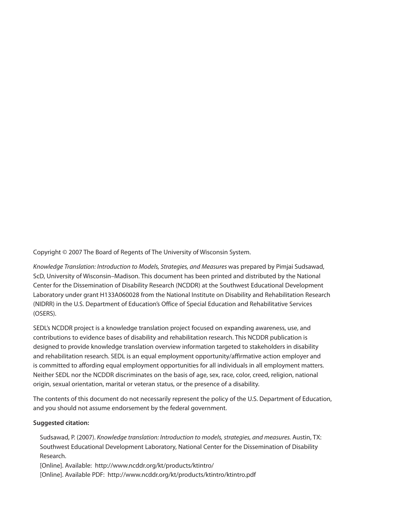Copyright © 2007 The Board of Regents of The University of Wisconsin System.

*Knowledge Translation: Introduction to Models, Strategies, and Measures* was prepared by Pimjai Sudsawad, ScD, University of Wisconsin–Madison. This document has been printed and distributed by the National Center for the Dissemination of Disability Research (NCDDR) at the Southwest Educational Development Laboratory under grant H133A060028 from the National Institute on Disability and Rehabilitation Research (NIDRR) in the U.S. Department of Education's Office of Special Education and Rehabilitative Services (OSERS).

SEDL's NCDDR project is a knowledge translation project focused on expanding awareness, use, and contributions to evidence bases of disability and rehabilitation research. This NCDDR publication is designed to provide knowledge translation overview information targeted to stakeholders in disability and rehabilitation research. SEDL is an equal employment opportunity/affirmative action employer and is committed to affording equal employment opportunities for all individuals in all employment matters. Neither SEDL nor the NCDDR discriminates on the basis of age, sex, race, color, creed, religion, national origin, sexual orientation, marital or veteran status, or the presence of a disability.

The contents of this document do not necessarily represent the policy of the U.S. Department of Education, and you should not assume endorsement by the federal government.

#### **Suggested citation:**

Sudsawad, P. (2007). *Knowledge translation: Introduction to models, strategies, and measures.* Austin, TX: Southwest Educational Development Laboratory, National Center for the Dissemination of Disability Research.

[Online]. Available: http://www.ncddr.org/kt/products/ktintro/

[Online]. Available PDF: http://www.ncddr.org/kt/products/ktintro/ktintro.pdf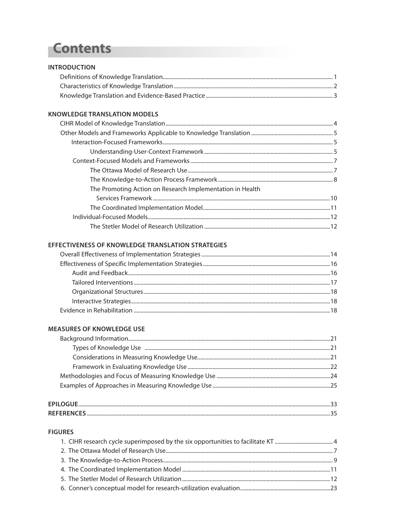# **Contents**

| <b>INTRODUCTION</b> |  |
|---------------------|--|
|                     |  |
|                     |  |
|                     |  |
|                     |  |

#### **KNOWLEDGE TRANSLATION MODELS**

| The Promoting Action on Research Implementation in Health |  |
|-----------------------------------------------------------|--|
|                                                           |  |
|                                                           |  |
|                                                           |  |
|                                                           |  |

#### EFFECTIVENESS OF KNOWLEDGE TRANSLATION STRATEGIES

#### **MEASURES OF KNOWLEDGE USE**

#### **FIGURES**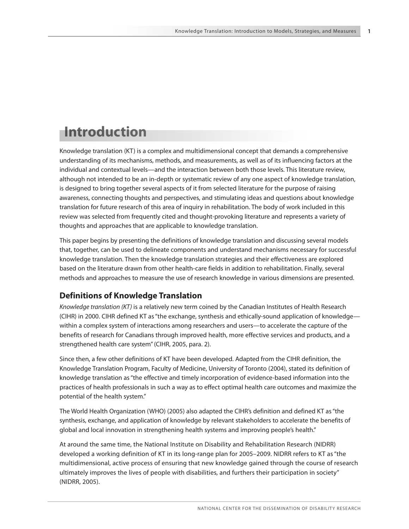### **Introduction**

Knowledge translation (KT) is a complex and multidimensional concept that demands a comprehensive understanding of its mechanisms, methods, and measurements, as well as of its influencing factors at the individual and contextual levels—and the interaction between both those levels. This literature review, although not intended to be an in-depth or systematic review of any one aspect of knowledge translation, is designed to bring together several aspects of it from selected literature for the purpose of raising awareness, connecting thoughts and perspectives, and stimulating ideas and questions about knowledge translation for future research of this area of inquiry in rehabilitation. The body of work included in this review was selected from frequently cited and thought-provoking literature and represents a variety of thoughts and approaches that are applicable to knowledge translation.

This paper begins by presenting the definitions of knowledge translation and discussing several models that, together, can be used to delineate components and understand mechanisms necessary for successful knowledge translation. Then the knowledge translation strategies and their effectiveness are explored based on the literature drawn from other health-care fields in addition to rehabilitation. Finally, several methods and approaches to measure the use of research knowledge in various dimensions are presented.

#### **Definitions of Knowledge Translation**

*Knowledge translation (KT)* is a relatively new term coined by the Canadian Institutes of Health Research (CIHR) in 2000. CIHR defined KT as "the exchange, synthesis and ethically-sound application of knowledge within a complex system of interactions among researchers and users—to accelerate the capture of the benefits of research for Canadians through improved health, more effective services and products, and a strengthened health care system" (CIHR, 2005, para. 2).

Since then, a few other definitions of KT have been developed. Adapted from the CIHR definition, the Knowledge Translation Program, Faculty of Medicine, University of Toronto (2004), stated its definition of knowledge translation as "the effective and timely incorporation of evidence-based information into the practices of health professionals in such a way as to effect optimal health care outcomes and maximize the potential of the health system."

The World Health Organization (WHO) (2005) also adapted the CIHR's definition and defined KT as "the synthesis, exchange, and application of knowledge by relevant stakeholders to accelerate the benefits of global and local innovation in strengthening health systems and improving people's health."

At around the same time, the National Institute on Disability and Rehabilitation Research (NIDRR) developed a working definition of KT in its long-range plan for 2005–2009. NIDRR refers to KT as "the multidimensional, active process of ensuring that new knowledge gained through the course of research ultimately improves the lives of people with disabilities, and furthers their participation in society" (NIDRR, 2005).

**1**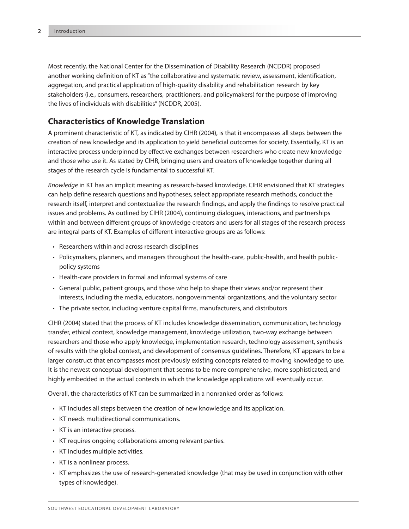Most recently, the National Center for the Dissemination of Disability Research (NCDDR) proposed another working definition of KT as "the collaborative and systematic review, assessment, identification, aggregation, and practical application of high-quality disability and rehabilitation research by key stakeholders (i.e., consumers, researchers, practitioners, and policymakers) for the purpose of improving the lives of individuals with disabilities" (NCDDR, 2005).

#### **Characteristics of Knowledge Translation**

A prominent characteristic of KT, as indicated by CIHR (2004), is that it encompasses all steps between the creation of new knowledge and its application to yield beneficial outcomes for society. Essentially, KT is an interactive process underpinned by effective exchanges between researchers who create new knowledge and those who use it. As stated by CIHR, bringing users and creators of knowledge together during all stages of the research cycle is fundamental to successful KT.

*Knowledge* in KT has an implicit meaning as research-based knowledge. CIHR envisioned that KT strategies can help define research questions and hypotheses, select appropriate research methods, conduct the research itself, interpret and contextualize the research findings, and apply the findings to resolve practical issues and problems. As outlined by CIHR (2004), continuing dialogues, interactions, and partnerships within and between different groups of knowledge creators and users for all stages of the research process are integral parts of KT. Examples of different interactive groups are as follows:

- Researchers within and across research disciplines
- Policymakers, planners, and managers throughout the health-care, public-health, and health publicpolicy systems
- Health-care providers in formal and informal systems of care
- General public, patient groups, and those who help to shape their views and/or represent their interests, including the media, educators, nongovernmental organizations, and the voluntary sector
- The private sector, including venture capital firms, manufacturers, and distributors

CIHR (2004) stated that the process of KT includes knowledge dissemination, communication, technology transfer, ethical context, knowledge management, knowledge utilization, two-way exchange between researchers and those who apply knowledge, implementation research, technology assessment, synthesis of results with the global context, and development of consensus guidelines. Therefore, KT appears to be a larger construct that encompasses most previously existing concepts related to moving knowledge to use. It is the newest conceptual development that seems to be more comprehensive, more sophisticated, and highly embedded in the actual contexts in which the knowledge applications will eventually occur.

Overall, the characteristics of KT can be summarized in a nonranked order as follows:

- KT includes all steps between the creation of new knowledge and its application.
- KT needs multidirectional communications.
- KT is an interactive process.
- KT requires ongoing collaborations among relevant parties.
- KT includes multiple activities.
- KT is a nonlinear process.
- KT emphasizes the use of research-generated knowledge (that may be used in conjunction with other types of knowledge).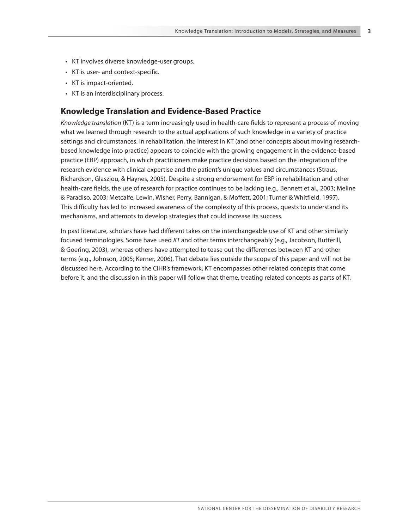- KT involves diverse knowledge-user groups.
- KT is user- and context-specific.
- KT is impact-oriented.
- KT is an interdisciplinary process.

#### **Knowledge Translation and Evidence-Based Practice**

*Knowledge translation* (KT) is a term increasingly used in health-care fields to represent a process of moving what we learned through research to the actual applications of such knowledge in a variety of practice settings and circumstances. In rehabilitation, the interest in KT (and other concepts about moving researchbased knowledge into practice) appears to coincide with the growing engagement in the evidence-based practice (EBP) approach, in which practitioners make practice decisions based on the integration of the research evidence with clinical expertise and the patient's unique values and circumstances (Straus, Richardson, Glasziou, & Haynes, 2005). Despite a strong endorsement for EBP in rehabilitation and other health-care fields, the use of research for practice continues to be lacking (e.g., Bennett et al., 2003; Meline & Paradiso, 2003; Metcalfe, Lewin, Wisher, Perry, Bannigan, & Moffett, 2001; Turner & Whitfield, 1997). This difficulty has led to increased awareness of the complexity of this process, quests to understand its mechanisms, and attempts to develop strategies that could increase its success.

In past literature, scholars have had different takes on the interchangeable use of KT and other similarly focused terminologies. Some have used *KT* and other terms interchangeably (e.g., Jacobson, Butterill, & Goering, 2003), whereas others have attempted to tease out the differences between KT and other terms (e.g., Johnson, 2005; Kerner, 2006). That debate lies outside the scope of this paper and will not be discussed here. According to the CIHR's framework, KT encompasses other related concepts that come before it, and the discussion in this paper will follow that theme, treating related concepts as parts of KT.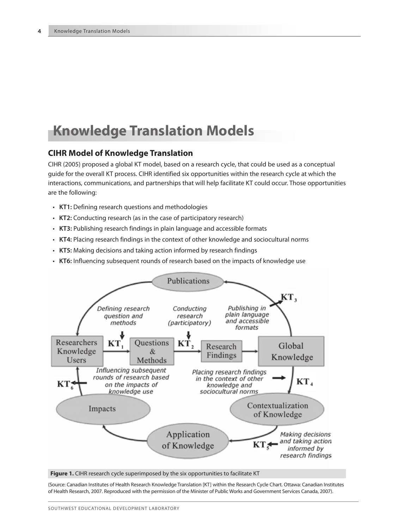### **Knowledge Translation Models**

#### **CIHR Model of Knowledge Translation**

CIHR (2005) proposed a global KT model, based on a research cycle, that could be used as a conceptual guide for the overall KT process. CIHR identified six opportunities within the research cycle at which the interactions, communications, and partnerships that will help facilitate KT could occur. Those opportunities are the following:

- **KT1:** Defining research questions and methodologies
- • **KT2:** Conducting research (as in the case of participatory research)
- **KT3:** Publishing research findings in plain language and accessible formats
- **KT4:** Placing research findings in the context of other knowledge and sociocultural norms
- **KT5:** Making decisions and taking action informed by research findings
- • **KT6:** Influencing subsequent rounds of research based on the impacts of knowledge use



(Source: Canadian Institutes of Health Research Knowledge Translation [KT] within the Research Cycle Chart. Ottawa: Canadian Institutes of Health Research, 2007. Reproduced with the permission of the Minister of Public Works and Government Services Canada, 2007).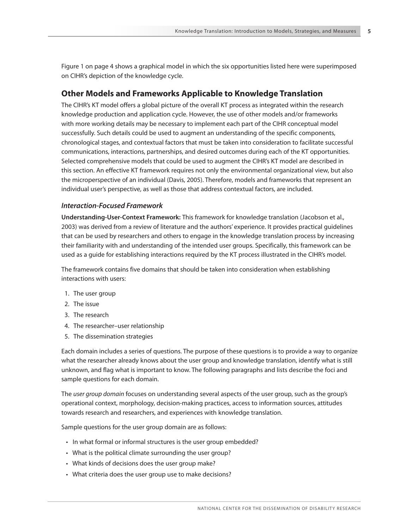**5**

Figure 1 on page 4 shows a graphical model in which the six opportunities listed here were superimposed on CIHR's depiction of the knowledge cycle.

#### **Other Models and Frameworks Applicable to Knowledge Translation**

The CIHR's KT model offers a global picture of the overall KT process as integrated within the research knowledge production and application cycle. However, the use of other models and/or frameworks with more working details may be necessary to implement each part of the CIHR conceptual model successfully. Such details could be used to augment an understanding of the specific components, chronological stages, and contextual factors that must be taken into consideration to facilitate successful communications, interactions, partnerships, and desired outcomes during each of the KT opportunities. Selected comprehensive models that could be used to augment the CIHR's KT model are described in this section. An effective KT framework requires not only the environmental organizational view, but also the microperspective of an individual (Davis, 2005). Therefore, models and frameworks that represent an individual user's perspective, as well as those that address contextual factors, are included.

#### *Interaction-Focused Framework*

**Understanding-User-Context Framework:** This framework for knowledge translation (Jacobson et al., 2003) was derived from a review of literature and the authors' experience. It provides practical guidelines that can be used by researchers and others to engage in the knowledge translation process by increasing their familiarity with and understanding of the intended user groups. Specifically, this framework can be used as a guide for establishing interactions required by the KT process illustrated in the CIHR's model.

The framework contains five domains that should be taken into consideration when establishing interactions with users:

- 1. The user group
- 2. The issue
- 3. The research
- 4. The researcher–user relationship
- 5. The dissemination strategies

Each domain includes a series of questions. The purpose of these questions is to provide a way to organize what the researcher already knows about the user group and knowledge translation, identify what is still unknown, and flag what is important to know. The following paragraphs and lists describe the foci and sample questions for each domain.

The *user group domain* focuses on understanding several aspects of the user group, such as the group's operational context, morphology, decision-making practices, access to information sources, attitudes towards research and researchers, and experiences with knowledge translation.

Sample questions for the user group domain are as follows:

- In what formal or informal structures is the user group embedded?
- What is the political climate surrounding the user group?
- What kinds of decisions does the user group make?
- What criteria does the user group use to make decisions?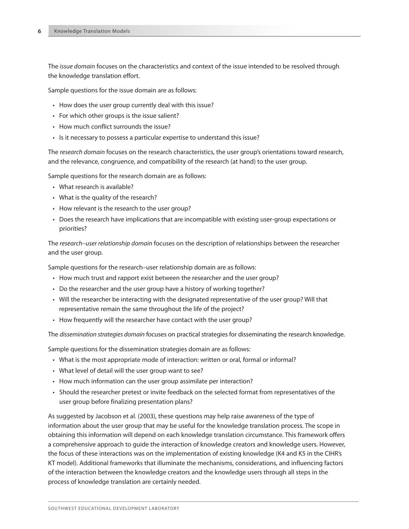The *issue domain* focuses on the characteristics and context of the issue intended to be resolved through the knowledge translation effort.

Sample questions for the issue domain are as follows:

- How does the user group currently deal with this issue?
- For which other groups is the issue salient?
- How much conflict surrounds the issue?
- Is it necessary to possess a particular expertise to understand this issue?

The *research domain* focuses on the research characteristics, the user group's orientations toward research, and the relevance, congruence, and compatibility of the research (at hand) to the user group.

Sample questions for the research domain are as follows:

- What research is available?
- What is the quality of the research?
- How relevant is the research to the user group?
- Does the research have implications that are incompatible with existing user-group expectations or priorities?

The *research–user relationship domain* focuses on the description of relationships between the researcher and the user group.

Sample questions for the research–user relationship domain are as follows:

- How much trust and rapport exist between the researcher and the user group?
- Do the researcher and the user group have a history of working together?
- Will the researcher be interacting with the designated representative of the user group? Will that representative remain the same throughout the life of the project?
- How frequently will the researcher have contact with the user group?

The *dissemination strategies domain* focuses on practical strategies for disseminating the research knowledge.

Sample questions for the dissemination strategies domain are as follows:

- What is the most appropriate mode of interaction: written or oral, formal or informal?
- What level of detail will the user group want to see?
- How much information can the user group assimilate per interaction?
- Should the researcher pretest or invite feedback on the selected format from representatives of the user group before finalizing presentation plans?

As suggested by Jacobson et al. (2003), these questions may help raise awareness of the type of information about the user group that may be useful for the knowledge translation process. The scope in obtaining this information will depend on each knowledge translation circumstance. This framework offers a comprehensive approach to guide the interaction of knowledge creators and knowledge users. However, the focus of these interactions was on the implementation of existing knowledge (K4 and K5 in the CIHR's KT model). Additional frameworks that illuminate the mechanisms, considerations, and influencing factors of the interaction between the knowledge creators and the knowledge users through all steps in the process of knowledge translation are certainly needed.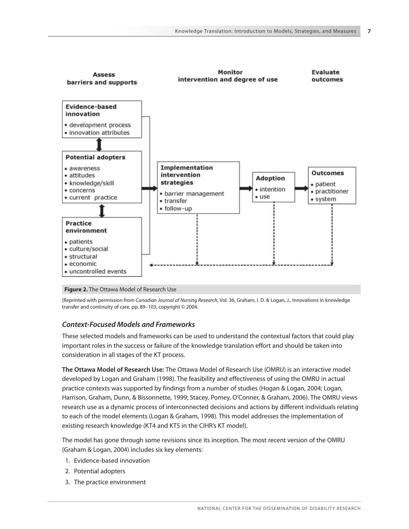

**Figure 2.** The Ottawa Model of Research Use

(Reprinted with permission from *Canadian Journal of Nursing Research,* Vol. 36, Graham, I. D. & Logan, J., Innovations in knowledge transfer and continuity of care, pp. 89–103, copyright © 2004.

#### *Context-Focused Models and Frameworks*

These selected models and frameworks can be used to understand the contextual factors that could play important roles in the success or failure of the knowledge translation effort and should be taken into consideration in all stages of the KT process.

**The Ottawa Model of Research Use:** The Ottawa Model of Research Use (OMRU) is an interactive model developed by Logan and Graham (1998). The feasibility and effectiveness of using the OMRU in actual practice contexts was supported by findings from a number of studies (Hogan & Logan, 2004; Logan, Harrison, Graham, Dunn, & Bissonnette, 1999; Stacey, Pomey, O'Conner, & Graham, 2006). The OMRU views research use as a dynamic process of interconnected decisions and actions by different individuals relating to each of the model elements (Logan & Graham, 1998). This model addresses the implementation of existing research knowledge (KT4 and KT5 in the CIHR's KT model).

The model has gone through some revisions since its inception. The most recent version of the OMRU (Graham & Logan, 2004) includes six key elements:

- 1. Evidence-based innovation
- 2. Potential adopters
- 3. The practice environment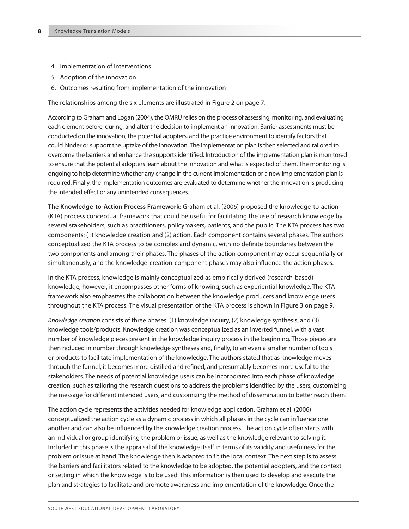- 4. Implementation of interventions
- 5. Adoption of the innovation
- 6. Outcomes resulting from implementation of the innovation

The relationships among the six elements are illustrated in Figure 2 on page 7.

According to Graham and Logan (2004), the OMRU relies on the process of assessing, monitoring, and evaluating each element before, during, and after the decision to implement an innovation. Barrier assessments must be conducted on the innovation, the potential adopters, and the practice environment to identify factors that could hinder or support the uptake of the innovation. The implementation plan is then selected and tailored to overcome the barriers and enhance the supports identified. Introduction of the implementation plan is monitored to ensure that the potential adopters learn about the innovation and what is expected of them. The monitoring is ongoing to help determine whether any change in the current implementation or a new implementation plan is required. Finally, the implementation outcomes are evaluated to determine whether the innovation is producing the intended effect or any unintended consequences.

**The Knowledge-to-Action Process Framework:** Graham et al. (2006) proposed the knowledge-to-action (KTA) process conceptual framework that could be useful for facilitating the use of research knowledge by several stakeholders, such as practitioners, policymakers, patients, and the public. The KTA process has two components: (1) knowledge creation and (2) action. Each component contains several phases. The authors conceptualized the KTA process to be complex and dynamic, with no definite boundaries between the two components and among their phases. The phases of the action component may occur sequentially or simultaneously, and the knowledge-creation-component phases may also influence the action phases.

In the KTA process, knowledge is mainly conceptualized as empirically derived (research-based) knowledge; however, it encompasses other forms of knowing, such as experiential knowledge. The KTA framework also emphasizes the collaboration between the knowledge producers and knowledge users throughout the KTA process. The visual presentation of the KTA process is shown in Figure 3 on page 9.

*Knowledge creation* consists of three phases: (1) knowledge inquiry, (2) knowledge synthesis, and (3) knowledge tools/products. Knowledge creation was conceptualized as an inverted funnel, with a vast number of knowledge pieces present in the knowledge inquiry process in the beginning. Those pieces are then reduced in number through knowledge syntheses and, finally, to an even a smaller number of tools or products to facilitate implementation of the knowledge. The authors stated that as knowledge moves through the funnel, it becomes more distilled and refined, and presumably becomes more useful to the stakeholders. The needs of potential knowledge users can be incorporated into each phase of knowledge creation, such as tailoring the research questions to address the problems identified by the users, customizing the message for different intended users, and customizing the method of dissemination to better reach them.

The action cycle represents the activities needed for knowledge application. Graham et al. (2006) conceptualized the action cycle as a dynamic process in which all phases in the cycle can influence one another and can also be influenced by the knowledge creation process. The action cycle often starts with an individual or group identifying the problem or issue, as well as the knowledge relevant to solving it. Included in this phase is the appraisal of the knowledge itself in terms of its validity and usefulness for the problem or issue at hand. The knowledge then is adapted to fit the local context. The next step is to assess the barriers and facilitators related to the knowledge to be adopted, the potential adopters, and the context or setting in which the knowledge is to be used. This information is then used to develop and execute the plan and strategies to facilitate and promote awareness and implementation of the knowledge. Once the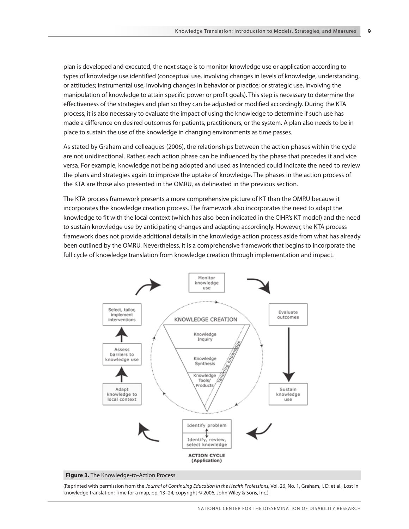**9**

plan is developed and executed, the next stage is to monitor knowledge use or application according to types of knowledge use identified (conceptual use, involving changes in levels of knowledge, understanding, or attitudes; instrumental use, involving changes in behavior or practice; or strategic use, involving the manipulation of knowledge to attain specific power or profit goals). This step is necessary to determine the effectiveness of the strategies and plan so they can be adjusted or modified accordingly. During the KTA process, it is also necessary to evaluate the impact of using the knowledge to determine if such use has made a difference on desired outcomes for patients, practitioners, or the system. A plan also needs to be in place to sustain the use of the knowledge in changing environments as time passes.

As stated by Graham and colleagues (2006), the relationships between the action phases within the cycle are not unidirectional. Rather, each action phase can be influenced by the phase that precedes it and vice versa. For example, knowledge not being adopted and used as intended could indicate the need to review the plans and strategies again to improve the uptake of knowledge. The phases in the action process of the KTA are those also presented in the OMRU, as delineated in the previous section.

The KTA process framework presents a more comprehensive picture of KT than the OMRU because it incorporates the knowledge creation process. The framework also incorporates the need to adapt the knowledge to fit with the local context (which has also been indicated in the CIHR's KT model) and the need to sustain knowledge use by anticipating changes and adapting accordingly. However, the KTA process framework does not provide additional details in the knowledge action process aside from what has already been outlined by the OMRU. Nevertheless, it is a comprehensive framework that begins to incorporate the full cycle of knowledge translation from knowledge creation through implementation and impact.





(Reprinted with permission from the *Journal of Continuing Education in the Health Professions,* Vol. 26, No. 1, Graham, I. D. et al., Lost in knowledge translation: Time for a map, pp. 13–24, copyright © 2006, John Wiley & Sons, Inc.)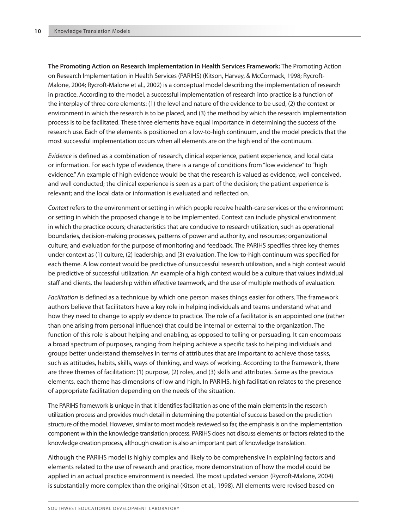**The Promoting Action on Research Implementation in Health Services Framework:** The Promoting Action on Research Implementation in Health Services (PARIHS) (Kitson, Harvey, & McCormack, 1998; Rycroft-Malone, 2004; Rycroft-Malone et al., 2002) is a conceptual model describing the implementation of research in practice. According to the model, a successful implementation of research into practice is a function of the interplay of three core elements: (1) the level and nature of the evidence to be used, (2) the context or environment in which the research is to be placed, and (3) the method by which the research implementation process is to be facilitated. These three elements have equal importance in determining the success of the research use. Each of the elements is positioned on a low-to-high continuum, and the model predicts that the most successful implementation occurs when all elements are on the high end of the continuum.

*Evidence* is defined as a combination of research, clinical experience, patient experience, and local data or information. For each type of evidence, there is a range of conditions from "low evidence" to "high evidence." An example of high evidence would be that the research is valued as evidence, well conceived, and well conducted; the clinical experience is seen as a part of the decision; the patient experience is relevant; and the local data or information is evaluated and reflected on.

*Context* refers to the environment or setting in which people receive health-care services or the environment or setting in which the proposed change is to be implemented. Context can include physical environment in which the practice occurs; characteristics that are conducive to research utilization, such as operational boundaries, decision-making processes, patterns of power and authority, and resources; organizational culture; and evaluation for the purpose of monitoring and feedback. The PARIHS specifies three key themes under context as (1) culture, (2) leadership, and (3) evaluation. The low-to-high continuum was specified for each theme. A low context would be predictive of unsuccessful research utilization, and a high context would be predictive of successful utilization. An example of a high context would be a culture that values individual staff and clients, the leadership within effective teamwork, and the use of multiple methods of evaluation.

*Facilitation* is defined as a technique by which one person makes things easier for others. The framework authors believe that facilitators have a key role in helping individuals and teams understand what and how they need to change to apply evidence to practice. The role of a facilitator is an appointed one (rather than one arising from personal influence) that could be internal or external to the organization. The function of this role is about helping and enabling, as opposed to telling or persuading. It can encompass a broad spectrum of purposes, ranging from helping achieve a specific task to helping individuals and groups better understand themselves in terms of attributes that are important to achieve those tasks, such as attitudes, habits, skills, ways of thinking, and ways of working. According to the framework, there are three themes of facilitation: (1) purpose, (2) roles, and (3) skills and attributes. Same as the previous elements, each theme has dimensions of low and high. In PARIHS, high facilitation relates to the presence of appropriate facilitation depending on the needs of the situation.

The PARIHS framework is unique in that it identifies facilitation as one of the main elements in the research utilization process and provides much detail in determining the potential of success based on the prediction structure of the model. However, similar to most models reviewed so far, the emphasis is on the implementation component within the knowledge translation process. PARIHS does not discuss elements or factors related to the knowledge creation process, although creation is also an important part of knowledge translation.

Although the PARIHS model is highly complex and likely to be comprehensive in explaining factors and elements related to the use of research and practice, more demonstration of how the model could be applied in an actual practice environment is needed. The most updated version (Rycroft-Malone, 2004) is substantially more complex than the original (Kitson et al., 1998). All elements were revised based on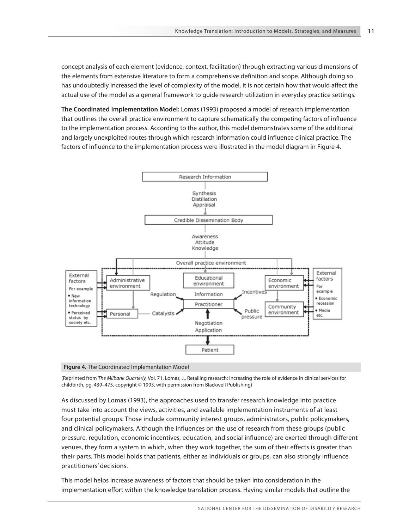concept analysis of each element (evidence, context, facilitation) through extracting various dimensions of the elements from extensive literature to form a comprehensive definition and scope. Although doing so has undoubtedly increased the level of complexity of the model, it is not certain how that would affect the actual use of the model as a general framework to guide research utilization in everyday practice settings.

**The Coordinated Implementation Model:** Lomas (1993) proposed a model of research implementation that outlines the overall practice environment to capture schematically the competing factors of influence to the implementation process. According to the author, this model demonstrates some of the additional and largely unexploited routes through which research information could influence clinical practice. The factors of influence to the implementation process were illustrated in the model diagram in Figure 4.



#### **Figure 4.** The Coordinated Implementation Model

(Reprinted from *The Milbank Quarterly,* Vol. 71, Lomas, J., Retailing research: Increasing the role of evidence in clinical services for childbirth, pg. 439–475, copyright © 1993, with permission from Blackwell Publishing)

As discussed by Lomas (1993), the approaches used to transfer research knowledge into practice must take into account the views, activities, and available implementation instruments of at least four potential groups. Those include community interest groups, administrators, public policymakers, and clinical policymakers. Although the influences on the use of research from these groups (public pressure, regulation, economic incentives, education, and social influence) are exerted through different venues, they form a system in which, when they work together, the sum of their effects is greater than their parts. This model holds that patients, either as individuals or groups, can also strongly influence practitioners' decisions.

This model helps increase awareness of factors that should be taken into consideration in the implementation effort within the knowledge translation process. Having similar models that outline the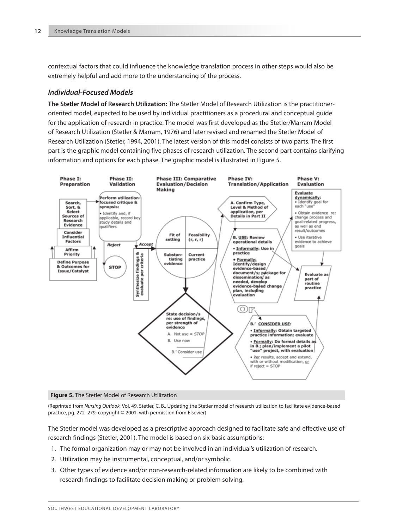contextual factors that could influence the knowledge translation process in other steps would also be extremely helpful and add more to the understanding of the process.

#### *Individual-Focused Models*

**The Stetler Model of Research Utilization:** The Stetler Model of Research Utilization is the practitioneroriented model, expected to be used by individual practitioners as a procedural and conceptual guide for the application of research in practice. The model was first developed as the Stetler/Marram Model of Research Utilization (Stetler & Marram, 1976) and later revised and renamed the Stetler Model of Research Utilization (Stetler, 1994, 2001). The latest version of this model consists of two parts. The first part is the graphic model containing five phases of research utilization. The second part contains clarifying information and options for each phase. The graphic model is illustrated in Figure 5.



**Figure 5.** The Stetler Model of Research Utilization

(Reprinted from *Nursing Outlook,* Vol. 49, Stetler, C. B., Updating the Stetler model of research utilization to facilitate evidence-based practice, pg. 272–279, copyright © 2001, with permission from Elsevier)

The Stetler model was developed as a prescriptive approach designed to facilitate safe and effective use of research findings (Stetler, 2001). The model is based on six basic assumptions:

- 1. The formal organization may or may not be involved in an individual's utilization of research.
- 2. Utilization may be instrumental, conceptual, and/or symbolic.
- 3. Other types of evidence and/or non-research-related information are likely to be combined with research findings to facilitate decision making or problem solving.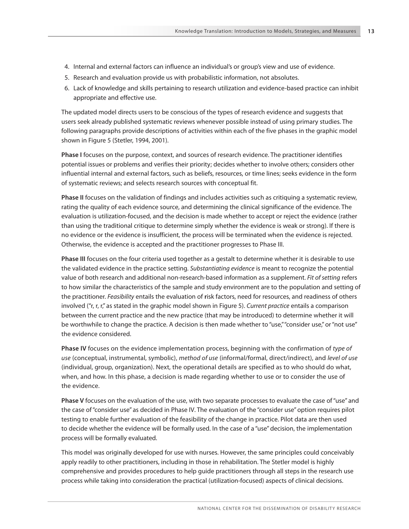- 4. Internal and external factors can influence an individual's or group's view and use of evidence.
- 5. Research and evaluation provide us with probabilistic information, not absolutes.
- 6. Lack of knowledge and skills pertaining to research utilization and evidence-based practice can inhibit appropriate and effective use.

The updated model directs users to be conscious of the types of research evidence and suggests that users seek already published systematic reviews whenever possible instead of using primary studies. The following paragraphs provide descriptions of activities within each of the five phases in the graphic model shown in Figure 5 (Stetler, 1994, 2001).

**Phase I** focuses on the purpose, context, and sources of research evidence. The practitioner identifies potential issues or problems and verifies their priority; decides whether to involve others; considers other influential internal and external factors, such as beliefs, resources, or time lines; seeks evidence in the form of systematic reviews; and selects research sources with conceptual fit.

**Phase II** focuses on the validation of findings and includes activities such as critiquing a systematic review, rating the quality of each evidence source, and determining the clinical significance of the evidence. The evaluation is utilization-focused, and the decision is made whether to accept or reject the evidence (rather than using the traditional critique to determine simply whether the evidence is weak or strong). If there is no evidence or the evidence is insufficient, the process will be terminated when the evidence is rejected. Otherwise, the evidence is accepted and the practitioner progresses to Phase III.

**Phase III** focuses on the four criteria used together as a gestalt to determine whether it is desirable to use the validated evidence in the practice setting. *Substantiating evidence* is meant to recognize the potential value of both research and additional non-research-based information as a supplement. *Fit of setting* refers to how similar the characteristics of the sample and study environment are to the population and setting of the practitioner. *Feasibility* entails the evaluation of **r**isk factors, need for resources, and readiness of others involved ("r, r, r," as stated in the graphic model shown in Figure 5). *Current practice* entails a comparison between the current practice and the new practice (that may be introduced) to determine whether it will be worthwhile to change the practice. A decision is then made whether to "use," "consider use," or "not use" the evidence considered.

**Phase IV** focuses on the evidence implementation process, beginning with the confirmation of *type of use* (conceptual, instrumental, symbolic), *method of use* (informal/formal, direct/indirect), and *level of use*  (individual, group, organization). Next, the operational details are specified as to who should do what, when, and how. In this phase, a decision is made regarding whether to use or to consider the use of the evidence.

**Phase V** focuses on the evaluation of the use, with two separate processes to evaluate the case of "use" and the case of "consider use" as decided in Phase IV. The evaluation of the "consider use" option requires pilot testing to enable further evaluation of the feasibility of the change in practice. Pilot data are then used to decide whether the evidence will be formally used. In the case of a "use" decision, the implementation process will be formally evaluated.

This model was originally developed for use with nurses. However, the same principles could conceivably apply readily to other practitioners, including in those in rehabilitation. The Stetler model is highly comprehensive and provides procedures to help guide practitioners through all steps in the research use process while taking into consideration the practical (utilization-focused) aspects of clinical decisions.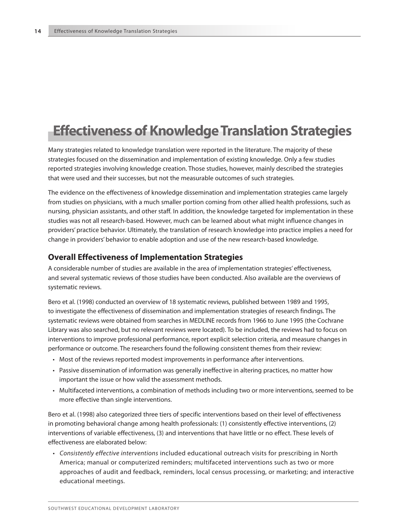### **Effectiveness of Knowledge Translation Strategies**

Many strategies related to knowledge translation were reported in the literature. The majority of these strategies focused on the dissemination and implementation of existing knowledge. Only a few studies reported strategies involving knowledge creation. Those studies, however, mainly described the strategies that were used and their successes, but not the measurable outcomes of such strategies.

The evidence on the effectiveness of knowledge dissemination and implementation strategies came largely from studies on physicians, with a much smaller portion coming from other allied health professions, such as nursing, physician assistants, and other staff. In addition, the knowledge targeted for implementation in these studies was not all research-based. However, much can be learned about what might influence changes in providers' practice behavior. Ultimately, the translation of research knowledge into practice implies a need for change in providers' behavior to enable adoption and use of the new research-based knowledge.

#### **Overall Effectiveness of Implementation Strategies**

A considerable number of studies are available in the area of implementation strategies' effectiveness, and several systematic reviews of those studies have been conducted. Also available are the overviews of systematic reviews.

Bero et al. (1998) conducted an overview of 18 systematic reviews, published between 1989 and 1995, to investigate the effectiveness of dissemination and implementation strategies of research findings. The systematic reviews were obtained from searches in MEDLINE records from 1966 to June 1995 (the Cochrane Library was also searched, but no relevant reviews were located). To be included, the reviews had to focus on interventions to improve professional performance, report explicit selection criteria, and measure changes in performance or outcome. The researchers found the following consistent themes from their review:

- Most of the reviews reported modest improvements in performance after interventions.
- Passive dissemination of information was generally ineffective in altering practices, no matter how important the issue or how valid the assessment methods.
- Multifaceted interventions, a combination of methods including two or more interventions, seemed to be more effective than single interventions.

Bero et al. (1998) also categorized three tiers of specific interventions based on their level of effectiveness in promoting behavioral change among health professionals: (1) consistently effective interventions, (2) interventions of variable effectiveness, (3) and interventions that have little or no effect. These levels of effectiveness are elaborated below:

 • *Consistently effective interventions* included educational outreach visits for prescribing in North America; manual or computerized reminders; multifaceted interventions such as two or more approaches of audit and feedback, reminders, local census processing, or marketing; and interactive educational meetings.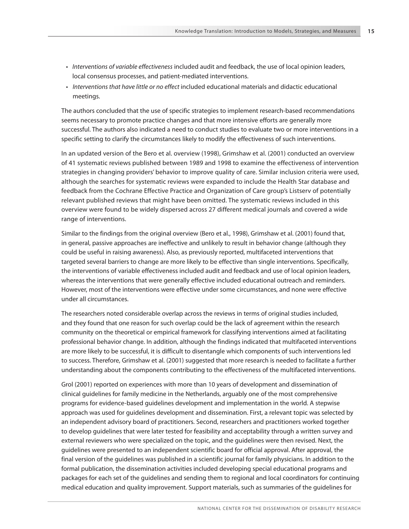- *Interventions of variable effectiveness* included audit and feedback, the use of local opinion leaders, local consensus processes, and patient-mediated interventions.
- *Interventions that have little or no effect* included educational materials and didactic educational meetings.

The authors concluded that the use of specific strategies to implement research-based recommendations seems necessary to promote practice changes and that more intensive efforts are generally more successful. The authors also indicated a need to conduct studies to evaluate two or more interventions in a specific setting to clarify the circumstances likely to modify the effectiveness of such interventions.

In an updated version of the Bero et al. overview (1998), Grimshaw et al. (2001) conducted an overview of 41 systematic reviews published between 1989 and 1998 to examine the effectiveness of intervention strategies in changing providers' behavior to improve quality of care. Similar inclusion criteria were used, although the searches for systematic reviews were expanded to include the Health Star database and feedback from the Cochrane Effective Practice and Organization of Care group's Listserv of potentially relevant published reviews that might have been omitted. The systematic reviews included in this overview were found to be widely dispersed across 27 different medical journals and covered a wide range of interventions.

Similar to the findings from the original overview (Bero et al., 1998), Grimshaw et al. (2001) found that, in general, passive approaches are ineffective and unlikely to result in behavior change (although they could be useful in raising awareness). Also, as previously reported, multifaceted interventions that targeted several barriers to change are more likely to be effective than single interventions. Specifically, the interventions of variable effectiveness included audit and feedback and use of local opinion leaders, whereas the interventions that were generally effective included educational outreach and reminders. However, most of the interventions were effective under some circumstances, and none were effective under all circumstances.

The researchers noted considerable overlap across the reviews in terms of original studies included, and they found that one reason for such overlap could be the lack of agreement within the research community on the theoretical or empirical framework for classifying interventions aimed at facilitating professional behavior change. In addition, although the findings indicated that multifaceted interventions are more likely to be successful, it is difficult to disentangle which components of such interventions led to success. Therefore, Grimshaw et al. (2001) suggested that more research is needed to facilitate a further understanding about the components contributing to the effectiveness of the multifaceted interventions.

Grol (2001) reported on experiences with more than 10 years of development and dissemination of clinical guidelines for family medicine in the Netherlands, arguably one of the most comprehensive programs for evidence-based guidelines development and implementation in the world. A stepwise approach was used for guidelines development and dissemination. First, a relevant topic was selected by an independent advisory board of practitioners. Second, researchers and practitioners worked together to develop guidelines that were later tested for feasibility and acceptability through a written survey and external reviewers who were specialized on the topic, and the guidelines were then revised. Next, the guidelines were presented to an independent scientific board for official approval. After approval, the final version of the guidelines was published in a scientific journal for family physicians. In addition to the formal publication, the dissemination activities included developing special educational programs and packages for each set of the guidelines and sending them to regional and local coordinators for continuing medical education and quality improvement. Support materials, such as summaries of the guidelines for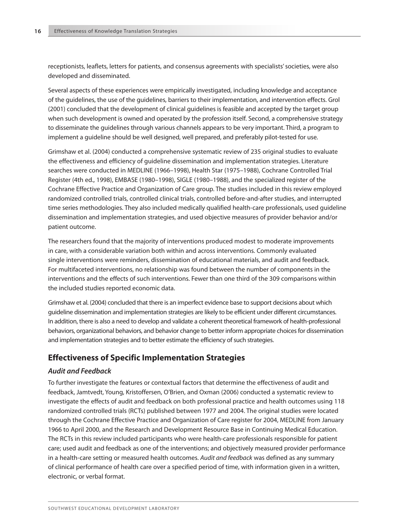receptionists, leaflets, letters for patients, and consensus agreements with specialists' societies, were also developed and disseminated.

Several aspects of these experiences were empirically investigated, including knowledge and acceptance of the guidelines, the use of the guidelines, barriers to their implementation, and intervention effects. Grol (2001) concluded that the development of clinical guidelines is feasible and accepted by the target group when such development is owned and operated by the profession itself. Second, a comprehensive strategy to disseminate the guidelines through various channels appears to be very important. Third, a program to implement a guideline should be well designed, well prepared, and preferably pilot-tested for use.

Grimshaw et al. (2004) conducted a comprehensive systematic review of 235 original studies to evaluate the effectiveness and efficiency of guideline dissemination and implementation strategies. Literature searches were conducted in MEDLINE (1966–1998), Health Star (1975–1988), Cochrane Controlled Trial Register (4th ed., 1998), EMBASE (1980–1998), SIGLE (1980–1988), and the specialized register of the Cochrane Effective Practice and Organization of Care group. The studies included in this review employed randomized controlled trials, controlled clinical trials, controlled before-and-after studies, and interrupted time series methodologies. They also included medically qualified health-care professionals, used guideline dissemination and implementation strategies, and used objective measures of provider behavior and/or patient outcome.

The researchers found that the majority of interventions produced modest to moderate improvements in care, with a considerable variation both within and across interventions. Commonly evaluated single interventions were reminders, dissemination of educational materials, and audit and feedback. For multifaceted interventions, no relationship was found between the number of components in the interventions and the effects of such interventions. Fewer than one third of the 309 comparisons within the included studies reported economic data.

Grimshaw et al. (2004) concluded that there is an imperfect evidence base to support decisions about which guideline dissemination and implementation strategies are likely to be efficient under different circumstances. In addition, there is also a need to develop and validate a coherent theoretical framework of health-professional behaviors, organizational behaviors, and behavior change to better inform appropriate choices for dissemination and implementation strategies and to better estimate the efficiency of such strategies.

#### **Effectiveness of Specific Implementation Strategies**

#### *Audit and Feedback*

To further investigate the features or contextual factors that determine the effectiveness of audit and feedback, Jamtvedt, Young, Kristoffersen, O'Brien, and Oxman (2006) conducted a systematic review to investigate the effects of audit and feedback on both professional practice and health outcomes using 118 randomized controlled trials (RCTs) published between 1977 and 2004. The original studies were located through the Cochrane Effective Practice and Organization of Care register for 2004, MEDLINE from January 1966 to April 2000, and the Research and Development Resource Base in Continuing Medical Education. The RCTs in this review included participants who were health-care professionals responsible for patient care; used audit and feedback as one of the interventions; and objectively measured provider performance in a health-care setting or measured health outcomes. *Audit and feedback* was defined as any summary of clinical performance of health care over a specified period of time, with information given in a written, electronic, or verbal format.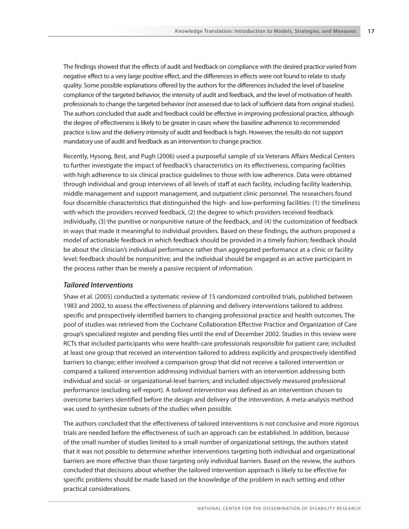The findings showed that the effects of audit and feedback on compliance with the desired practice varied from negative effect to a very large positive effect, and the differences in effects were not found to relate to study quality. Some possible explanations offered by the authors for the differences included the level of baseline compliance of the targeted behavior, the intensity of audit and feedback, and the level of motivation of health professionals to change the targeted behavior (not assessed due to lack of sufficient data from original studies). The authors concluded that audit and feedback could be effective in improving professional practice, although the degree of effectiveness is likely to be greater in cases where the baseline adherence to recommended practice is low and the delivery intensity of audit and feedback is high. However, the results do not support mandatory use of audit and feedback as an intervention to change practice.

Recently, Hysong, Best, and Pugh (2006) used a purposeful sample of six Veterans Affairs Medical Centers to further investigate the impact of feedback's characteristics on its effectiveness, comparing facilities with high adherence to six clinical practice guidelines to those with low adherence. Data were obtained through individual and group interviews of all levels of staff at each facility, including facility leadership, middle management and support management, and outpatient clinic personnel. The researchers found four discernible characteristics that distinguished the high- and low-performing facilities: (1) the timeliness with which the providers received feedback, (2) the degree to which providers received feedback individually, (3) the punitive or nonpunitive nature of the feedback, and (4) the customization of feedback in ways that made it meaningful to individual providers. Based on these findings, the authors proposed a model of actionable feedback in which feedback should be provided in a timely fashion; feedback should be about the clinician's individual performance rather than aggregated performance at a clinic or facility level; feedback should be nonpunitive; and the individual should be engaged as an active participant in the process rather than be merely a passive recipient of information.

#### *Tailored Interventions*

Shaw et al. (2005) conducted a systematic review of 15 randomized controlled trials, published between 1983 and 2002, to assess the effectiveness of planning and delivery interventions tailored to address specific and prospectively identified barriers to changing professional practice and health outcomes. The pool of studies was retrieved from the Cochrane Collaboration Effective Practice and Organization of Care group's specialized register and pending files until the end of December 2002. Studies in this review were RCTs that included participants who were health-care professionals responsible for patient care; included at least one group that received an intervention tailored to address explicitly and prospectively identified barriers to change; either involved a comparison group that did not receive a tailored intervention or compared a tailored intervention addressing individual barriers with an intervention addressing both individual and social- or organizational-level barriers; and included objectively measured professional performance (excluding self-report). A *tailored intervention* was defined as an intervention chosen to overcome barriers identified before the design and delivery of the intervention. A meta-analysis method was used to synthesize subsets of the studies when possible.

The authors concluded that the effectiveness of tailored interventions is not conclusive and more rigorous trials are needed before the effectiveness of such an approach can be established. In addition, because of the small number of studies limited to a small number of organizational settings, the authors stated that it was not possible to determine whether interventions targeting both individual and organizational barriers are more effective than those targeting only individual barriers. Based on the review, the authors concluded that decisions about whether the tailored intervention approach is likely to be effective for specific problems should be made based on the knowledge of the problem in each setting and other practical considerations.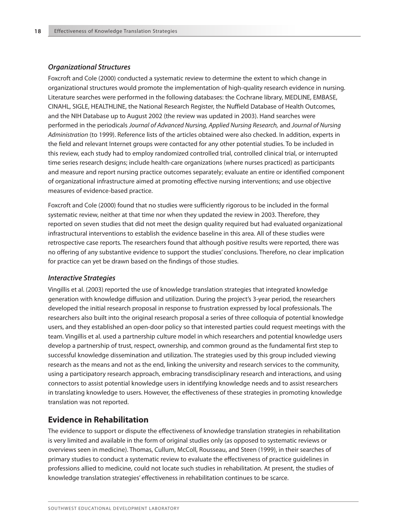#### *Organizational Structures*

Foxcroft and Cole (2000) conducted a systematic review to determine the extent to which change in organizational structures would promote the implementation of high-quality research evidence in nursing. Literature searches were performed in the following databases: the Cochrane library, MEDLINE, EMBASE, CINAHL, SIGLE, HEALTHLINE, the National Research Register, the Nuffield Database of Health Outcomes, and the NIH Database up to August 2002 (the review was updated in 2003). Hand searches were performed in the periodicals *Journal of Advanced Nursing, Applied Nursing Research,* and *Journal of Nursing Administration* (to 1999). Reference lists of the articles obtained were also checked. In addition, experts in the field and relevant Internet groups were contacted for any other potential studies. To be included in this review, each study had to employ randomized controlled trial, controlled clinical trial, or interrupted time series research designs; include health-care organizations (where nurses practiced) as participants and measure and report nursing practice outcomes separately; evaluate an entire or identified component of organizational infrastructure aimed at promoting effective nursing interventions; and use objective measures of evidence-based practice.

Foxcroft and Cole (2000) found that no studies were sufficiently rigorous to be included in the formal systematic review, neither at that time nor when they updated the review in 2003. Therefore, they reported on seven studies that did not meet the design quality required but had evaluated organizational infrastructural interventions to establish the evidence baseline in this area. All of these studies were retrospective case reports. The researchers found that although positive results were reported, there was no offering of any substantive evidence to support the studies' conclusions. Therefore, no clear implication for practice can yet be drawn based on the findings of those studies.

#### *Interactive Strategies*

Vingillis et al. (2003) reported the use of knowledge translation strategies that integrated knowledge generation with knowledge diffusion and utilization. During the project's 3-year period, the researchers developed the initial research proposal in response to frustration expressed by local professionals. The researchers also built into the original research proposal a series of three colloquia of potential knowledge users, and they established an open-door policy so that interested parties could request meetings with the team. Vingillis et al. used a partnership culture model in which researchers and potential knowledge users develop a partnership of trust, respect, ownership, and common ground as the fundamental first step to successful knowledge dissemination and utilization. The strategies used by this group included viewing research as the means and not as the end, linking the university and research services to the community, using a participatory research approach, embracing transdisciplinary research and interactions, and using connectors to assist potential knowledge users in identifying knowledge needs and to assist researchers in translating knowledge to users. However, the effectiveness of these strategies in promoting knowledge translation was not reported.

#### **Evidence in Rehabilitation**

The evidence to support or dispute the effectiveness of knowledge translation strategies in rehabilitation is very limited and available in the form of original studies only (as opposed to systematic reviews or overviews seen in medicine). Thomas, Cullum, McColl, Rousseau, and Steen (1999), in their searches of primary studies to conduct a systematic review to evaluate the effectiveness of practice guidelines in professions allied to medicine, could not locate such studies in rehabilitation. At present, the studies of knowledge translation strategies' effectiveness in rehabilitation continues to be scarce.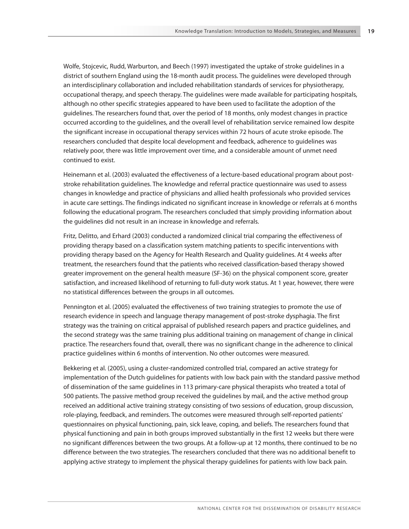Wolfe, Stojcevic, Rudd, Warburton, and Beech (1997) investigated the uptake of stroke guidelines in a district of southern England using the 18-month audit process. The guidelines were developed through an interdisciplinary collaboration and included rehabilitation standards of services for physiotherapy, occupational therapy, and speech therapy. The guidelines were made available for participating hospitals, although no other specific strategies appeared to have been used to facilitate the adoption of the guidelines. The researchers found that, over the period of 18 months, only modest changes in practice occurred according to the guidelines, and the overall level of rehabilitation service remained low despite the significant increase in occupational therapy services within 72 hours of acute stroke episode. The researchers concluded that despite local development and feedback, adherence to guidelines was relatively poor, there was little improvement over time, and a considerable amount of unmet need continued to exist.

Heinemann et al. (2003) evaluated the effectiveness of a lecture-based educational program about poststroke rehabilitation guidelines. The knowledge and referral practice questionnaire was used to assess changes in knowledge and practice of physicians and allied health professionals who provided services in acute care settings. The findings indicated no significant increase in knowledge or referrals at 6 months following the educational program. The researchers concluded that simply providing information about the guidelines did not result in an increase in knowledge and referrals.

Fritz, Delitto, and Erhard (2003) conducted a randomized clinical trial comparing the effectiveness of providing therapy based on a classification system matching patients to specific interventions with providing therapy based on the Agency for Health Research and Quality guidelines. At 4 weeks after treatment, the researchers found that the patients who received classification-based therapy showed greater improvement on the general health measure (SF-36) on the physical component score, greater satisfaction, and increased likelihood of returning to full-duty work status. At 1 year, however, there were no statistical differences between the groups in all outcomes.

Pennington et al. (2005) evaluated the effectiveness of two training strategies to promote the use of research evidence in speech and language therapy management of post-stroke dysphagia. The first strategy was the training on critical appraisal of published research papers and practice guidelines, and the second strategy was the same training plus additional training on management of change in clinical practice. The researchers found that, overall, there was no significant change in the adherence to clinical practice guidelines within 6 months of intervention. No other outcomes were measured.

Bekkering et al. (2005), using a cluster-randomized controlled trial, compared an active strategy for implementation of the Dutch guidelines for patients with low back pain with the standard passive method of dissemination of the same guidelines in 113 primary-care physical therapists who treated a total of 500 patients. The passive method group received the guidelines by mail, and the active method group received an additional active training strategy consisting of two sessions of education, group discussion, role-playing, feedback, and reminders. The outcomes were measured through self-reported patients' questionnaires on physical functioning, pain, sick leave, coping, and beliefs. The researchers found that physical functioning and pain in both groups improved substantially in the first 12 weeks but there were no significant differences between the two groups. At a follow-up at 12 months, there continued to be no difference between the two strategies. The researchers concluded that there was no additional benefit to applying active strategy to implement the physical therapy guidelines for patients with low back pain.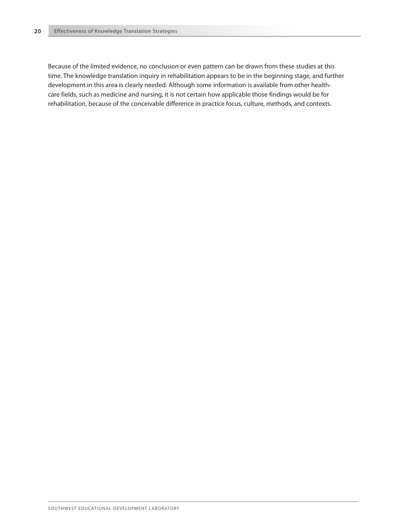Because of the limited evidence, no conclusion or even pattern can be drawn from these studies at this time. The knowledge translation inquiry in rehabilitation appears to be in the beginning stage, and further development in this area is clearly needed. Although some information is available from other healthcare fields, such as medicine and nursing, it is not certain how applicable those findings would be for rehabilitation, because of the conceivable difference in practice focus, culture, methods, and contexts.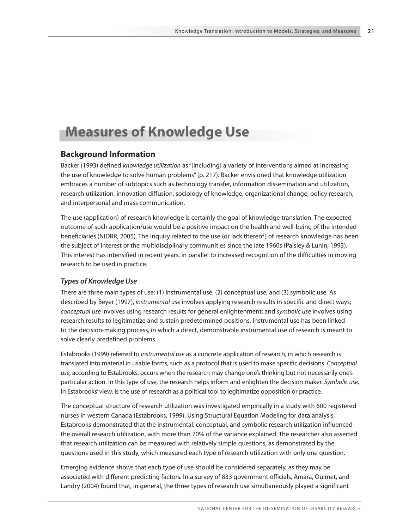## **Measures of Knowledge Use**

### **Background Information**

Backer (1993) defined *knowledge utilization* as "[including] a variety of interventions aimed at increasing the use of knowledge to solve human problems" (p. 217). Backer envisioned that knowledge utilization embraces a number of subtopics such as technology transfer, information dissemination and utilization, research utilization, innovation diffusion, sociology of knowledge, organizational change, policy research, and interpersonal and mass communication.

The use (application) of research knowledge is certainly the goal of knowledge translation. The expected outcome of such application/use would be a positive impact on the health and well-being of the intended beneficiaries (NIDRR, 2005). The inquiry related to the use (or lack thereof) of research knowledge has been the subject of interest of the multidisciplinary communities since the late 1960s (Paisley & Lunin, 1993). This interest has intensified in recent years, in parallel to increased recognition of the difficulties in moving research to be used in practice.

#### *Types of Knowledge Use*

There are three main types of use: (1) instrumental use, (2) conceptual use, and (3) symbolic use. As described by Beyer (1997), *instrumental use* involves applying research results in specific and direct ways; *conceptual use* involves using research results for general enlightenment; and *symbolic use* involves using research results to legitimatize and sustain predetermined positions. Instrumental use has been linked to the decision-making process, in which a direct, demonstrable instrumental use of research is meant to solve clearly predefined problems.

Estabrooks (1999) referred to *instrumental use* as a concrete application of research, in which research is translated into material in usable forms, such as a protocol that is used to make specific decisions. *Conceptual use,* according to Estabrooks, occurs when the research may change one's thinking but not necessarily one's particular action. In this type of use, the research helps inform and enlighten the decision maker. *Symbolic use,* in Estabrooks' view, is the use of research as a political tool to legitimatize opposition or practice.

The conceptual structure of research utilization was investigated empirically in a study with 600 registered nurses in western Canada (Estabrooks, 1999). Using Structural Equation Modeling for data analysis, Estabrooks demonstrated that the instrumental, conceptual, and symbolic research utilization influenced the overall research utilization, with more than 70% of the variance explained. The researcher also asserted that research utilization can be measured with relatively simple questions, as demonstrated by the questions used in this study, which measured each type of research utilization with only one question.

Emerging evidence shows that each type of use should be considered separately, as they may be associated with different predicting factors. In a survey of 833 government officials, Amara, Ouimet, and Landry (2004) found that, in general, the three types of research use simultaneously played a significant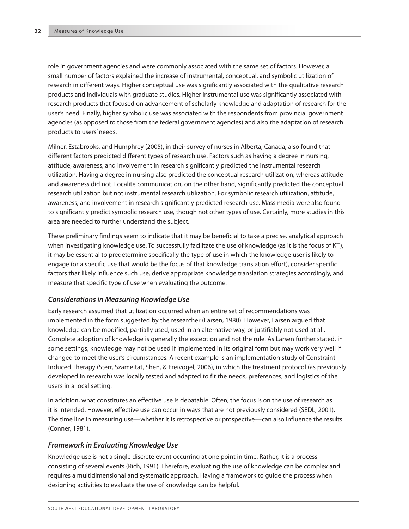role in government agencies and were commonly associated with the same set of factors. However, a small number of factors explained the increase of instrumental, conceptual, and symbolic utilization of research in different ways. Higher conceptual use was significantly associated with the qualitative research products and individuals with graduate studies. Higher instrumental use was significantly associated with research products that focused on advancement of scholarly knowledge and adaptation of research for the user's need. Finally, higher symbolic use was associated with the respondents from provincial government agencies (as opposed to those from the federal government agencies) and also the adaptation of research products to users' needs.

Milner, Estabrooks, and Humphrey (2005), in their survey of nurses in Alberta, Canada, also found that different factors predicted different types of research use. Factors such as having a degree in nursing, attitude, awareness, and involvement in research significantly predicted the instrumental research utilization. Having a degree in nursing also predicted the conceptual research utilization, whereas attitude and awareness did not. Localite communication, on the other hand, significantly predicted the conceptual research utilization but not instrumental research utilization. For symbolic research utilization, attitude, awareness, and involvement in research significantly predicted research use. Mass media were also found to significantly predict symbolic research use, though not other types of use. Certainly, more studies in this area are needed to further understand the subject.

These preliminary findings seem to indicate that it may be beneficial to take a precise, analytical approach when investigating knowledge use. To successfully facilitate the use of knowledge (as it is the focus of KT), it may be essential to predetermine specifically the type of use in which the knowledge user is likely to engage (or a specific use that would be the focus of that knowledge translation effort), consider specific factors that likely influence such use, derive appropriate knowledge translation strategies accordingly, and measure that specific type of use when evaluating the outcome.

#### *Considerations in Measuring Knowledge Use*

Early research assumed that utilization occurred when an entire set of recommendations was implemented in the form suggested by the researcher (Larsen, 1980). However, Larsen argued that knowledge can be modified, partially used, used in an alternative way, or justifiably not used at all. Complete adoption of knowledge is generally the exception and not the rule. As Larsen further stated, in some settings, knowledge may not be used if implemented in its original form but may work very well if changed to meet the user's circumstances. A recent example is an implementation study of Constraint-Induced Therapy (Sterr, Szameitat, Shen, & Freivogel, 2006), in which the treatment protocol (as previously developed in research) was locally tested and adapted to fit the needs, preferences, and logistics of the users in a local setting.

In addition, what constitutes an effective use is debatable. Often, the focus is on the use of research as it is intended. However, effective use can occur in ways that are not previously considered (SEDL, 2001). The time line in measuring use—whether it is retrospective or prospective—can also influence the results (Conner, 1981).

#### *Framework in Evaluating Knowledge Use*

Knowledge use is not a single discrete event occurring at one point in time. Rather, it is a process consisting of several events (Rich, 1991). Therefore, evaluating the use of knowledge can be complex and requires a multidimensional and systematic approach. Having a framework to guide the process when designing activities to evaluate the use of knowledge can be helpful.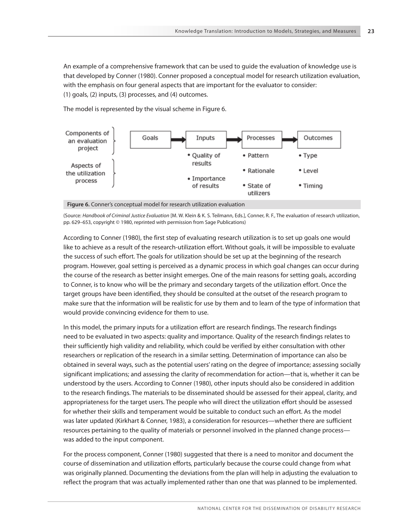An example of a comprehensive framework that can be used to guide the evaluation of knowledge use is that developed by Conner (1980). Conner proposed a conceptual model for research utilization evaluation, with the emphasis on four general aspects that are important for the evaluator to consider: (1) goals, (2) inputs, (3) processes, and (4) outcomes.

The model is represented by the visual scheme in Figure 6.



**Figure 6.** Conner's conceptual model for research utilization evaluation

(Source: *Handbook of Criminal Justice Evaluation* [M. W. Klein & K. S. Teilmann, Eds.], Conner, R. F., The evaluation of research utilization, pp. 629–653, copyright © 1980, reprinted with permission from Sage Publications)

According to Conner (1980), the first step of evaluating research utilization is to set up goals one would like to achieve as a result of the research-utilization effort. Without goals, it will be impossible to evaluate the success of such effort. The goals for utilization should be set up at the beginning of the research program. However, goal setting is perceived as a dynamic process in which goal changes can occur during the course of the research as better insight emerges. One of the main reasons for setting goals, according to Conner, is to know who will be the primary and secondary targets of the utilization effort. Once the target groups have been identified, they should be consulted at the outset of the research program to make sure that the information will be realistic for use by them and to learn of the type of information that would provide convincing evidence for them to use.

In this model, the primary inputs for a utilization effort are research findings. The research findings need to be evaluated in two aspects: quality and importance. Quality of the research findings relates to their sufficiently high validity and reliability, which could be verified by either consultation with other researchers or replication of the research in a similar setting. Determination of importance can also be obtained in several ways, such as the potential users' rating on the degree of importance; assessing socially significant implications; and assessing the clarity of recommendation for action—that is, whether it can be understood by the users. According to Conner (1980), other inputs should also be considered in addition to the research findings. The materials to be disseminated should be assessed for their appeal, clarity, and appropriateness for the target users. The people who will direct the utilization effort should be assessed for whether their skills and temperament would be suitable to conduct such an effort. As the model was later updated (Kirkhart & Conner, 1983), a consideration for resources—whether there are sufficient resources pertaining to the quality of materials or personnel involved in the planned change process was added to the input component.

For the process component, Conner (1980) suggested that there is a need to monitor and document the course of dissemination and utilization efforts, particularly because the course could change from what was originally planned. Documenting the deviations from the plan will help in adjusting the evaluation to reflect the program that was actually implemented rather than one that was planned to be implemented.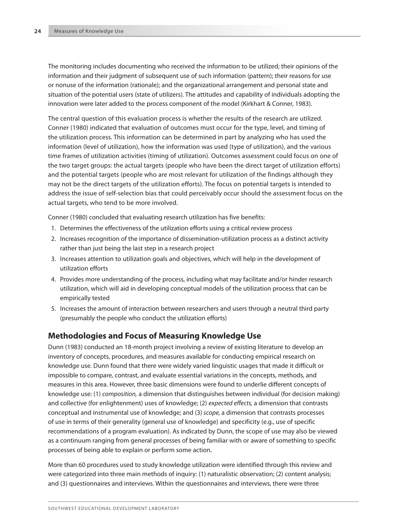The monitoring includes documenting who received the information to be utilized; their opinions of the information and their judgment of subsequent use of such information (pattern); their reasons for use or nonuse of the information (rationale); and the organizational arrangement and personal state and situation of the potential users (state of utilizers). The attitudes and capability of individuals adopting the innovation were later added to the process component of the model (Kirkhart & Conner, 1983).

The central question of this evaluation process is whether the results of the research are utilized. Conner (1980) indicated that evaluation of outcomes must occur for the type, level, and timing of the utilization process. This information can be determined in part by analyzing who has used the information (level of utilization), how the information was used (type of utilization), and the various time frames of utilization activities (timing of utilization). Outcomes assessment could focus on one of the two target groups: the actual targets (people who have been the direct target of utilization efforts) and the potential targets (people who are most relevant for utilization of the findings although they may not be the direct targets of the utilization efforts). The focus on potential targets is intended to address the issue of self-selection bias that could perceivably occur should the assessment focus on the actual targets, who tend to be more involved.

Conner (1980) concluded that evaluating research utilization has five benefits:

- 1. Determines the effectiveness of the utilization efforts using a critical review process
- 2. Increases recognition of the importance of dissemination-utilization process as a distinct activity rather than just being the last step in a research project
- 3. Increases attention to utilization goals and objectives, which will help in the development of utilization efforts
- 4. Provides more understanding of the process, including what may facilitate and/or hinder research utilization, which will aid in developing conceptual models of the utilization process that can be empirically tested
- 5. Increases the amount of interaction between researchers and users through a neutral third party (presumably the people who conduct the utilization efforts)

### **Methodologies and Focus of Measuring Knowledge Use**

Dunn (1983) conducted an 18-month project involving a review of existing literature to develop an inventory of concepts, procedures, and measures available for conducting empirical research on knowledge use. Dunn found that there were widely varied linguistic usages that made it difficult or impossible to compare, contrast, and evaluate essential variations in the concepts, methods, and measures in this area. However, three basic dimensions were found to underlie different concepts of knowledge use: (1) *composition,* a dimension that distinguishes between individual (for decision making) and collective (for enlightenment) uses of knowledge; (2) *expected effects,* a dimension that contrasts conceptual and instrumental use of knowledge; and (3) *scope,* a dimension that contrasts processes of use in terms of their generality (general use of knowledge) and specificity (e.g., use of specific recommendations of a program evaluation). As indicated by Dunn, the scope of use may also be viewed as a continuum ranging from general processes of being familiar with or aware of something to specific processes of being able to explain or perform some action.

More than 60 procedures used to study knowledge utilization were identified through this review and were categorized into three main methods of inquiry: (1) naturalistic observation; (2) content analysis; and (3) questionnaires and interviews. Within the questionnaires and interviews, there were three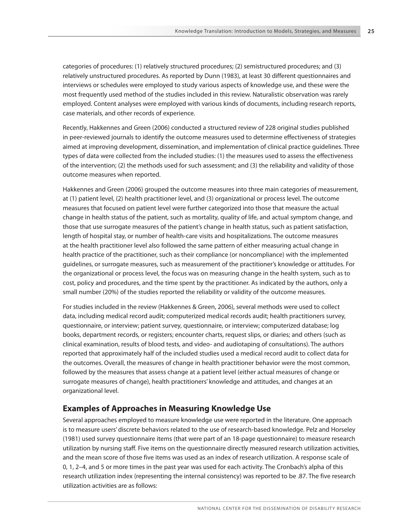categories of procedures: (1) relatively structured procedures; (2) semistructured procedures; and (3) relatively unstructured procedures. As reported by Dunn (1983), at least 30 different questionnaires and interviews or schedules were employed to study various aspects of knowledge use, and these were the most frequently used method of the studies included in this review. Naturalistic observation was rarely employed. Content analyses were employed with various kinds of documents, including research reports, case materials, and other records of experience.

Recently, Hakkennes and Green (2006) conducted a structured review of 228 original studies published in peer-reviewed journals to identify the outcome measures used to determine effectiveness of strategies aimed at improving development, dissemination, and implementation of clinical practice guidelines. Three types of data were collected from the included studies: (1) the measures used to assess the effectiveness of the intervention; (2) the methods used for such assessment; and (3) the reliability and validity of those outcome measures when reported.

Hakkennes and Green (2006) grouped the outcome measures into three main categories of measurement, at (1) patient level, (2) health practitioner level, and (3) organizational or process level. The outcome measures that focused on patient level were further categorized into those that measure the actual change in health status of the patient, such as mortality, quality of life, and actual symptom change, and those that use surrogate measures of the patient's change in health status, such as patient satisfaction, length of hospital stay, or number of health-care visits and hospitalizations. The outcome measures at the health practitioner level also followed the same pattern of either measuring actual change in health practice of the practitioner, such as their compliance (or noncompliance) with the implemented guidelines, or surrogate measures, such as measurement of the practitioner's knowledge or attitudes. For the organizational or process level, the focus was on measuring change in the health system, such as to cost, policy and procedures, and the time spent by the practitioner. As indicated by the authors, only a small number (20%) of the studies reported the reliability or validity of the outcome measures.

For studies included in the review (Hakkennes & Green, 2006), several methods were used to collect data, including medical record audit; computerized medical records audit; health practitioners survey, questionnaire, or interview; patient survey, questionnaire, or interview; computerized database; log books, department records, or registers; encounter charts, request slips, or diaries; and others (such as clinical examination, results of blood tests, and video- and audiotaping of consultations). The authors reported that approximately half of the included studies used a medical record audit to collect data for the outcomes. Overall, the measures of change in health practitioner behavior were the most common, followed by the measures that assess change at a patient level (either actual measures of change or surrogate measures of change), health practitioners' knowledge and attitudes, and changes at an organizational level.

#### **Examples of Approaches in Measuring Knowledge Use**

Several approaches employed to measure knowledge use were reported in the literature. One approach is to measure users' discrete behaviors related to the use of research-based knowledge. Pelz and Horseley (1981) used survey questionnaire items (that were part of an 18-page questionnaire) to measure research utilization by nursing staff. Five items on the questionnaire directly measured research utilization activities, and the mean score of those five items was used as an index of research utilization. A response scale of 0, 1, 2–4, and 5 or more times in the past year was used for each activity. The Cronbach's alpha of this research utilization index (representing the internal consistency) was reported to be .87. The five research utilization activities are as follows: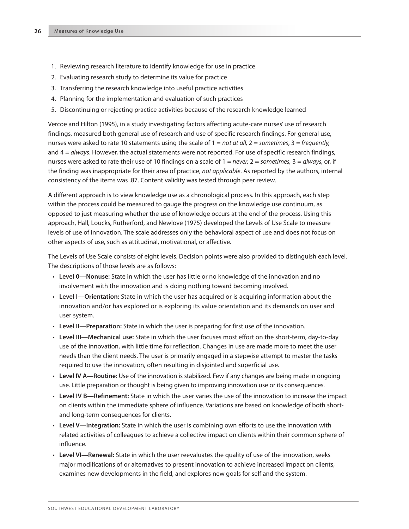- 1. Reviewing research literature to identify knowledge for use in practice
- 2. Evaluating research study to determine its value for practice
- 3. Transferring the research knowledge into useful practice activities
- 4. Planning for the implementation and evaluation of such practices
- 5. Discontinuing or rejecting practice activities because of the research knowledge learned

Vercoe and Hilton (1995), in a study investigating factors affecting acute-care nurses' use of research findings, measured both general use of research and use of specific research findings. For general use, nurses were asked to rate 10 statements using the scale of 1 = *not at all,* 2 = *sometimes*, 3 = *frequently,*  and 4 = *always*. However, the actual statements were not reported. For use of specific research findings, nurses were asked to rate their use of 10 findings on a scale of 1 = *never,* 2 = *sometimes,* 3 = *always,* or, if the finding was inappropriate for their area of practice, *not applicable*. As reported by the authors, internal consistency of the items was .87. Content validity was tested through peer review.

A different approach is to view knowledge use as a chronological process. In this approach, each step within the process could be measured to gauge the progress on the knowledge use continuum, as opposed to just measuring whether the use of knowledge occurs at the end of the process. Using this approach, Hall, Loucks, Rutherford, and Newlove (1975) developed the Levels of Use Scale to measure levels of use of innovation. The scale addresses only the behavioral aspect of use and does not focus on other aspects of use, such as attitudinal, motivational, or affective.

The Levels of Use Scale consists of eight levels. Decision points were also provided to distinguish each level. The descriptions of those levels are as follows:

- • **Level 0—Nonuse:** State in which the user has little or no knowledge of the innovation and no involvement with the innovation and is doing nothing toward becoming involved.
- **Level I—Orientation:** State in which the user has acquired or is acquiring information about the innovation and/or has explored or is exploring its value orientation and its demands on user and user system.
- **Level II—Preparation:** State in which the user is preparing for first use of the innovation.
- **Level III—Mechanical use:** State in which the user focuses most effort on the short-term, day-to-day use of the innovation, with little time for reflection. Changes in use are made more to meet the user needs than the client needs. The user is primarily engaged in a stepwise attempt to master the tasks required to use the innovation, often resulting in disjointed and superficial use.
- **Level IV A—Routine:** Use of the innovation is stabilized. Few if any changes are being made in ongoing use. Little preparation or thought is being given to improving innovation use or its consequences.
- **Level IV B—Refinement:** State in which the user varies the use of the innovation to increase the impact on clients within the immediate sphere of influence. Variations are based on knowledge of both shortand long-term consequences for clients.
- **Level V—Integration:** State in which the user is combining own efforts to use the innovation with related activities of colleagues to achieve a collective impact on clients within their common sphere of influence.
- **Level VI—Renewal:** State in which the user reevaluates the quality of use of the innovation, seeks major modifications of or alternatives to present innovation to achieve increased impact on clients, examines new developments in the field, and explores new goals for self and the system.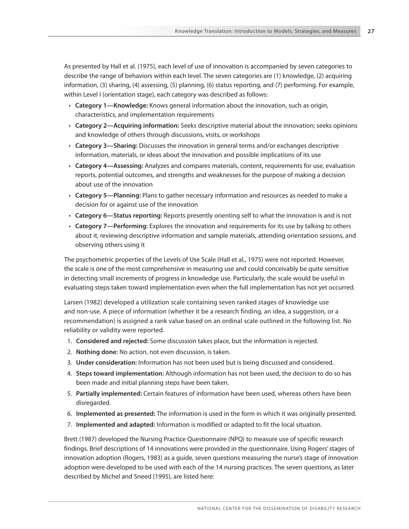As presented by Hall et al. (1975), each level of use of innovation is accompanied by seven categories to describe the range of behaviors within each level. The seven categories are (1) knowledge, (2) acquiring information, (3) sharing, (4) assessing, (5) planning, (6) status reporting, and (7) performing. For example, within Level I (orientation stage), each category was described as follows:

- **Category 1—Knowledge:** Knows general information about the innovation, such as origin, characteristics, and implementation requirements
- **Category 2—Acquiring information:** Seeks descriptive material about the innovation; seeks opinions and knowledge of others through discussions, visits, or workshops
- **Category 3—Sharing:** Discusses the innovation in general terms and/or exchanges descriptive information, materials, or ideas about the innovation and possible implications of its use
- **Category 4—Assessing:** Analyzes and compares materials, content, requirements for use, evaluation reports, potential outcomes, and strengths and weaknesses for the purpose of making a decision about use of the innovation
- **Category 5—Planning:** Plans to gather necessary information and resources as needed to make a decision for or against use of the innovation
- • **Category 6—Status reporting:** Reports presently orienting self to what the innovation is and is not
- **Category 7—Performing:** Explores the innovation and requirements for its use by talking to others about it, reviewing descriptive information and sample materials, attending orientation sessions, and observing others using it

The psychometric properties of the Levels of Use Scale (Hall et al., 1975) were not reported. However, the scale is one of the most comprehensive in measuring use and could conceivably be quite sensitive in detecting small increments of progress in knowledge use. Particularly, the scale would be useful in evaluating steps taken toward implementation even when the full implementation has not yet occurred.

Larsen (1982) developed a utilization scale containing seven ranked stages of knowledge use and non-use. A piece of information (whether it be a research finding, an idea, a suggestion, or a recommendation) is assigned a rank value based on an ordinal scale outlined in the following list. No reliability or validity were reported.

- 1. **Considered and rejected:** Some discussion takes place, but the information is rejected.
- 2. **Nothing done:** No action, not even discussion, is taken.
- 3. **Under consideration:** Information has not been used but is being discussed and considered.
- 4. **Steps toward implementation:** Although information has not been used, the decision to do so has been made and initial planning steps have been taken.
- 5. **Partially implemented:** Certain features of information have been used, whereas others have been disregarded.
- 6. **Implemented as presented:** The information is used in the form in which it was originally presented.
- 7. **Implemented and adapted:** Information is modified or adapted to fit the local situation.

Brett (1987) developed the Nursing Practice Questionnaire (NPQ) to measure use of specific research findings. Brief descriptions of 14 innovations were provided in the questionnaire. Using Rogers' stages of innovation adoption (Rogers, 1983) as a guide, seven questions measuring the nurse's stage of innovation adoption were developed to be used with each of the 14 nursing practices. The seven questions, as later described by Michel and Sneed (1995), are listed here: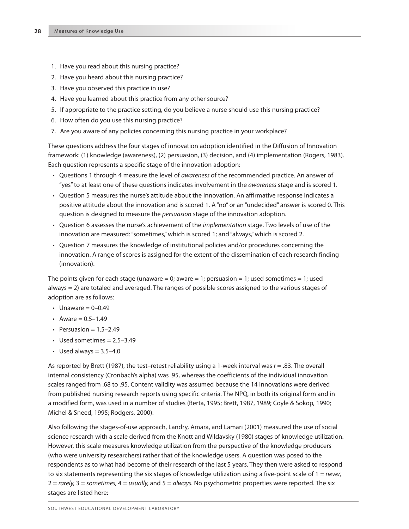- 1. Have you read about this nursing practice?
- 2. Have you heard about this nursing practice?
- 3. Have you observed this practice in use?
- 4. Have you learned about this practice from any other source?
- 5. If appropriate to the practice setting, do you believe a nurse should use this nursing practice?
- 6. How often do you use this nursing practice?
- 7. Are you aware of any policies concerning this nursing practice in your workplace?

These questions address the four stages of innovation adoption identified in the Diffusion of Innovation framework: (1) knowledge (awareness), (2) persuasion, (3) decision, and (4) implementation (Rogers, 1983). Each question represents a specific stage of the innovation adoption:

- Questions 1 through 4 measure the level of *awareness* of the recommended practice. An answer of "yes" to at least one of these questions indicates involvement in the *awareness* stage and is scored 1.
- Question 5 measures the nurse's attitude about the innovation. An affirmative response indicates a positive attitude about the innovation and is scored 1. A "no" or an "undecided" answer is scored 0. This question is designed to measure the *persuasion* stage of the innovation adoption.
- Question 6 assesses the nurse's achievement of the *implementation* stage. Two levels of use of the innovation are measured: "sometimes," which is scored 1; and "always," which is scored 2.
- Question 7 measures the knowledge of institutional policies and/or procedures concerning the innovation. A range of scores is assigned for the extent of the dissemination of each research finding (innovation).

The points given for each stage (unaware  $= 0$ ; aware  $= 1$ ; persuasion  $= 1$ ; used sometimes  $= 1$ ; used always = 2) are totaled and averaged. The ranges of possible scores assigned to the various stages of adoption are as follows:

- $\cdot$  Unaware = 0-0.49
- Aware  $= 0.5 1.49$
- Persuasion  $= 1.5 2.49$
- Used sometimes  $= 2.5 3.49$
- Used always  $= 3.5 4.0$

As reported by Brett (1987), the test–retest reliability using a 1-week interval was *r* = .83. The overall internal consistency (Cronbach's alpha) was .95, whereas the coefficients of the individual innovation scales ranged from .68 to .95. Content validity was assumed because the 14 innovations were derived from published nursing research reports using specific criteria. The NPQ, in both its original form and in a modified form, was used in a number of studies (Berta, 1995; Brett, 1987, 1989; Coyle & Sokop, 1990; Michel & Sneed, 1995; Rodgers, 2000).

Also following the stages-of-use approach, Landry, Amara, and Lamari (2001) measured the use of social science research with a scale derived from the Knott and Wildavsky (1980) stages of knowledge utilization. However, this scale measures knowledge utilization from the perspective of the knowledge producers (who were university researchers) rather that of the knowledge users. A question was posed to the respondents as to what had become of their research of the last 5 years. They then were asked to respond to six statements representing the six stages of knowledge utilization using a five-point scale of 1 = *never,*  2 = *rarely,* 3 = *sometimes,* 4 = *usually,* and 5 = *always.* No psychometric properties were reported. The six stages are listed here: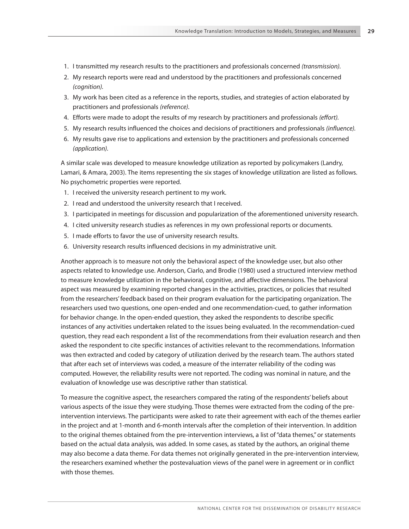- 1. I transmitted my research results to the practitioners and professionals concerned *(transmission).*
- 2. My research reports were read and understood by the practitioners and professionals concerned *(cognition).*
- 3. My work has been cited as a reference in the reports, studies, and strategies of action elaborated by practitioners and professionals *(reference).*
- 4. Efforts were made to adopt the results of my research by practitioners and professionals *(effort).*
- 5. My research results influenced the choices and decisions of practitioners and professionals *(influence).*
- 6. My results gave rise to applications and extension by the practitioners and professionals concerned *(application).*

A similar scale was developed to measure knowledge utilization as reported by policymakers (Landry, Lamari, & Amara, 2003). The items representing the six stages of knowledge utilization are listed as follows. No psychometric properties were reported.

- 1. I received the university research pertinent to my work.
- 2. I read and understood the university research that I received.
- 3. I participated in meetings for discussion and popularization of the aforementioned university research.
- 4. I cited university research studies as references in my own professional reports or documents.
- 5. I made efforts to favor the use of university research results.
- 6. University research results influenced decisions in my administrative unit.

Another approach is to measure not only the behavioral aspect of the knowledge user, but also other aspects related to knowledge use. Anderson, Ciarlo, and Brodie (1980) used a structured interview method to measure knowledge utilization in the behavioral, cognitive, and affective dimensions. The behavioral aspect was measured by examining reported changes in the activities, practices, or policies that resulted from the researchers' feedback based on their program evaluation for the participating organization. The researchers used two questions, one open-ended and one recommendation-cued, to gather information for behavior change. In the open-ended question, they asked the respondents to describe specific instances of any activities undertaken related to the issues being evaluated. In the recommendation-cued question, they read each respondent a list of the recommendations from their evaluation research and then asked the respondent to cite specific instances of activities relevant to the recommendations. Information was then extracted and coded by category of utilization derived by the research team. The authors stated that after each set of interviews was coded, a measure of the interrater reliability of the coding was computed. However, the reliability results were not reported. The coding was nominal in nature, and the evaluation of knowledge use was descriptive rather than statistical.

To measure the cognitive aspect, the researchers compared the rating of the respondents' beliefs about various aspects of the issue they were studying. Those themes were extracted from the coding of the preintervention interviews. The participants were asked to rate their agreement with each of the themes earlier in the project and at 1-month and 6-month intervals after the completion of their intervention. In addition to the original themes obtained from the pre-intervention interviews, a list of "data themes," or statements based on the actual data analysis, was added. In some cases, as stated by the authors, an original theme may also become a data theme. For data themes not originally generated in the pre-intervention interview, the researchers examined whether the postevaluation views of the panel were in agreement or in conflict with those themes.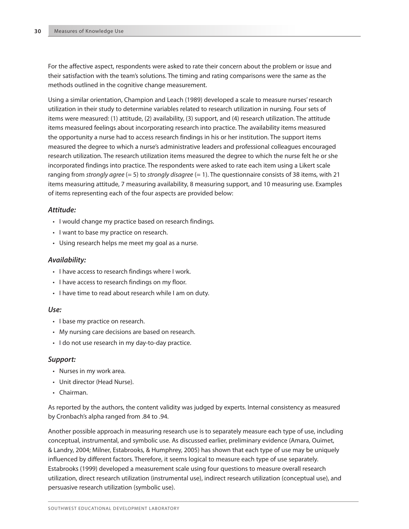For the affective aspect, respondents were asked to rate their concern about the problem or issue and their satisfaction with the team's solutions. The timing and rating comparisons were the same as the methods outlined in the cognitive change measurement.

Using a similar orientation, Champion and Leach (1989) developed a scale to measure nurses' research utilization in their study to determine variables related to research utilization in nursing. Four sets of items were measured: (1) attitude, (2) availability, (3) support, and (4) research utilization. The attitude items measured feelings about incorporating research into practice. The availability items measured the opportunity a nurse had to access research findings in his or her institution. The support items measured the degree to which a nurse's administrative leaders and professional colleagues encouraged research utilization. The research utilization items measured the degree to which the nurse felt he or she incorporated findings into practice. The respondents were asked to rate each item using a Likert scale ranging from *strongly agree* (= 5) to *strongly disagree* (= 1). The questionnaire consists of 38 items, with 21 items measuring attitude, 7 measuring availability, 8 measuring support, and 10 measuring use. Examples of items representing each of the four aspects are provided below:

#### *Attitude:*

- I would change my practice based on research findings.
- I want to base my practice on research.
- Using research helps me meet my goal as a nurse.

#### *Availability:*

- I have access to research findings where I work.
- I have access to research findings on my floor.
- I have time to read about research while I am on duty.

#### *Use:*

- I base my practice on research.
- My nursing care decisions are based on research.
- I do not use research in my day-to-day practice.

#### *Support:*

- Nurses in my work area.
- Unit director (Head Nurse).
- Chairman.

As reported by the authors, the content validity was judged by experts. Internal consistency as measured by Cronbach's alpha ranged from .84 to .94.

Another possible approach in measuring research use is to separately measure each type of use, including conceptual, instrumental, and symbolic use. As discussed earlier, preliminary evidence (Amara, Ouimet, & Landry, 2004; Milner, Estabrooks, & Humphrey, 2005) has shown that each type of use may be uniquely influenced by different factors. Therefore, it seems logical to measure each type of use separately. Estabrooks (1999) developed a measurement scale using four questions to measure overall research utilization, direct research utilization (instrumental use), indirect research utilization (conceptual use), and persuasive research utilization (symbolic use).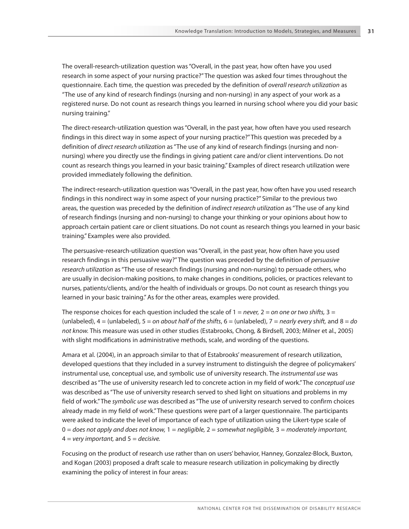The overall-research-utilization question was "Overall, in the past year, how often have you used research in some aspect of your nursing practice?" The question was asked four times throughout the questionnaire. Each time, the question was preceded by the definition of *overall research utilization* as "The use of any kind of research findings (nursing and non-nursing) in any aspect of your work as a registered nurse. Do not count as research things you learned in nursing school where you did your basic nursing training."

The direct-research-utilization question was "Overall, in the past year, how often have you used research findings in this direct way in some aspect of your nursing practice?" This question was preceded by a definition of *direct research utilization* as "The use of any kind of research findings (nursing and nonnursing) where you directly use the findings in giving patient care and/or client interventions. Do not count as research things you learned in your basic training." Examples of direct research utilization were provided immediately following the definition.

The indirect-research-utilization question was "Overall, in the past year, how often have you used research findings in this nondirect way in some aspect of your nursing practice?" Similar to the previous two areas, the question was preceded by the definition of *indirect research utilization* as "The use of any kind of research findings (nursing and non-nursing) to change your thinking or your opinions about how to approach certain patient care or client situations. Do not count as research things you learned in your basic training." Examples were also provided.

The persuasive-research-utilization question was "Overall, in the past year, how often have you used research findings in this persuasive way?" The question was preceded by the definition of *persuasive research utilization* as "The use of research findings (nursing and non-nursing) to persuade others, who are usually in decision-making positions, to make changes in conditions, policies, or practices relevant to nurses, patients/clients, and/or the health of individuals or groups. Do not count as research things you learned in your basic training." As for the other areas, examples were provided.

The response choices for each question included the scale of  $1 =$  *never*,  $2 =$  *on one or two shifts*,  $3 =$ (unlabeled), 4 = (unlabeled), 5 = *on about half of the shifts*, 6 = (unlabeled), 7 = *nearly every shift,* and 8 = *do not know.* This measure was used in other studies (Estabrooks, Chong, & Birdsell, 2003; Milner et al., 2005) with slight modifications in administrative methods, scale, and wording of the questions.

Amara et al. (2004), in an approach similar to that of Estabrooks' measurement of research utilization, developed questions that they included in a survey instrument to distinguish the degree of policymakers' instrumental use, conceptual use, and symbolic use of university research. The *instrumental use* was described as "The use of university research led to concrete action in my field of work." The *conceptual use*  was described as "The use of university research served to shed light on situations and problems in my field of work." The *symbolic use* was described as "The use of university research served to confirm choices already made in my field of work." These questions were part of a larger questionnaire. The participants were asked to indicate the level of importance of each type of utilization using the Likert-type scale of 0 = *does not apply and does not know,* 1 = *negligible,* 2 = *somewhat negligible,* 3 = *moderately important,*  4 = *very important,* and 5 = *decisive.*

Focusing on the product of research use rather than on users' behavior, Hanney, Gonzalez-Block, Buxton, and Kogan (2003) proposed a draft scale to measure research utilization in policymaking by directly examining the policy of interest in four areas: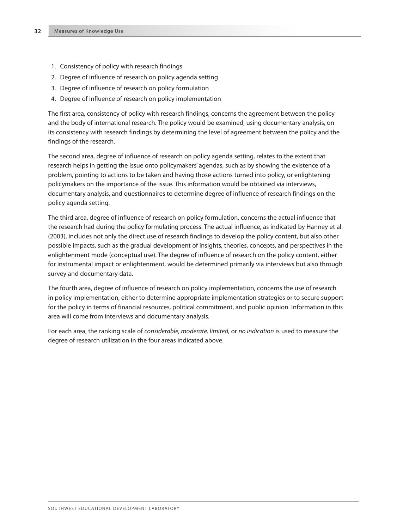- 1. Consistency of policy with research findings
- 2. Degree of influence of research on policy agenda setting
- 3. Degree of influence of research on policy formulation
- 4. Degree of influence of research on policy implementation

The first area, consistency of policy with research findings, concerns the agreement between the policy and the body of international research. The policy would be examined, using documentary analysis, on its consistency with research findings by determining the level of agreement between the policy and the findings of the research.

The second area, degree of influence of research on policy agenda setting, relates to the extent that research helps in getting the issue onto policymakers' agendas, such as by showing the existence of a problem, pointing to actions to be taken and having those actions turned into policy, or enlightening policymakers on the importance of the issue. This information would be obtained via interviews, documentary analysis, and questionnaires to determine degree of influence of research findings on the policy agenda setting.

The third area, degree of influence of research on policy formulation, concerns the actual influence that the research had during the policy formulating process. The actual influence, as indicated by Hanney et al. (2003), includes not only the direct use of research findings to develop the policy content, but also other possible impacts, such as the gradual development of insights, theories, concepts, and perspectives in the enlightenment mode (conceptual use). The degree of influence of research on the policy content, either for instrumental impact or enlightenment, would be determined primarily via interviews but also through survey and documentary data.

The fourth area, degree of influence of research on policy implementation, concerns the use of research in policy implementation, either to determine appropriate implementation strategies or to secure support for the policy in terms of financial resources, political commitment, and public opinion. Information in this area will come from interviews and documentary analysis.

For each area, the ranking scale of *considerable, moderate, limited,* or *no indication* is used to measure the degree of research utilization in the four areas indicated above.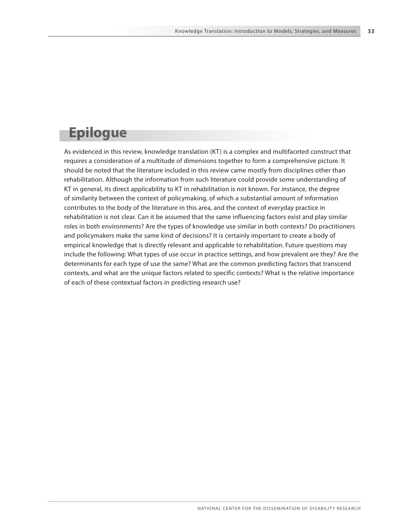## **Epilogue**

As evidenced in this review, knowledge translation (KT) is a complex and multifaceted construct that requires a consideration of a multitude of dimensions together to form a comprehensive picture. It should be noted that the literature included in this review came mostly from disciplines other than rehabilitation. Although the information from such literature could provide some understanding of KT in general, its direct applicability to KT in rehabilitation is not known. For instance, the degree of similarity between the context of policymaking, of which a substantial amount of information contributes to the body of the literature in this area, and the context of everyday practice in rehabilitation is not clear. Can it be assumed that the same influencing factors exist and play similar roles in both environments? Are the types of knowledge use similar in both contexts? Do practitioners and policymakers make the same kind of decisions? It is certainly important to create a body of empirical knowledge that is directly relevant and applicable to rehabilitation. Future questions may include the following: What types of use occur in practice settings, and how prevalent are they? Are the determinants for each type of use the same? What are the common predicting factors that transcend contexts, and what are the unique factors related to specific contexts? What is the relative importance of each of these contextual factors in predicting research use?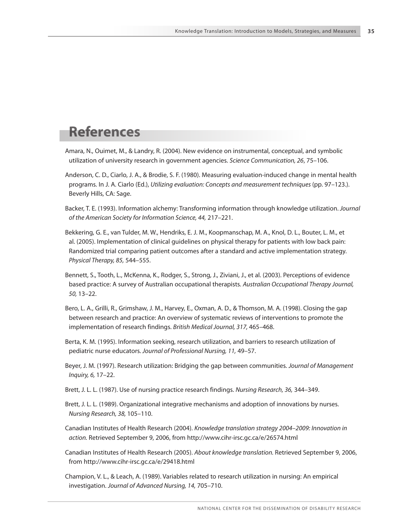### **References**

- Amara, N., Ouimet, M., & Landry, R. (2004). New evidence on instrumental, conceptual, and symbolic utilization of university research in government agencies. *Science Communication, 26*, 75–106.
- Anderson, C. D., Ciarlo, J. A., & Brodie, S. F. (1980). Measuring evaluation-induced change in mental health programs. In J. A. Ciarlo (Ed.), *Utilizing evaluation: Concepts and measurement techniques* (pp. 97–123.). Beverly Hills, CA: Sage.
- Backer, T. E. (1993). Information alchemy: Transforming information through knowledge utilization. *Journal of the American Society for Information Science, 44,* 217–221.
- Bekkering, G. E., van Tulder, M. W., Hendriks, E. J. M., Koopmanschap, M. A., Knol, D. L., Bouter, L. M., et al. (2005). Implementation of clinical guidelines on physical therapy for patients with low back pain: Randomized trial comparing patient outcomes after a standard and active implementation strategy. *Physical Therapy, 85,* 544–555.
- Bennett, S., Tooth, L., McKenna, K., Rodger, S., Strong, J., Ziviani, J., et al. (2003). Perceptions of evidence based practice: A survey of Australian occupational therapists. *Australian Occupational Therapy Journal, 50,* 13–22.
- Bero, L. A., Grilli, R., Grimshaw, J. M., Harvey, E., Oxman, A. D., & Thomson, M. A. (1998). Closing the gap between research and practice: An overview of systematic reviews of interventions to promote the implementation of research findings. *British Medical Journal, 317,* 465–468.
- Berta, K. M. (1995). Information seeking, research utilization, and barriers to research utilization of pediatric nurse educators. *Journal of Professional Nursing, 11,* 49–57.
- Beyer, J. M. (1997). Research utilization: Bridging the gap between communities. *Journal of Management Inquiry, 6,* 17–22.
- Brett, J. L. L. (1987). Use of nursing practice research findings. *Nursing Research, 36,* 344–349.
- Brett, J. L. L. (1989). Organizational integrative mechanisms and adoption of innovations by nurses. *Nursing Research, 38,* 105–110.
- Canadian Institutes of Health Research (2004). *Knowledge translation strategy 2004–2009: Innovation in action.* Retrieved September 9, 2006, from http://www.cihr-irsc.gc.ca/e/26574.html
- Canadian Institutes of Health Research (2005). *About knowledge translation.* Retrieved September 9, 2006, from http://www.cihr-irsc.gc.ca/e/29418.html
- Champion, V. L., & Leach, A. (1989). Variables related to research utilization in nursing: An empirical investigation. *Journal of Advanced Nursing, 14,* 705–710.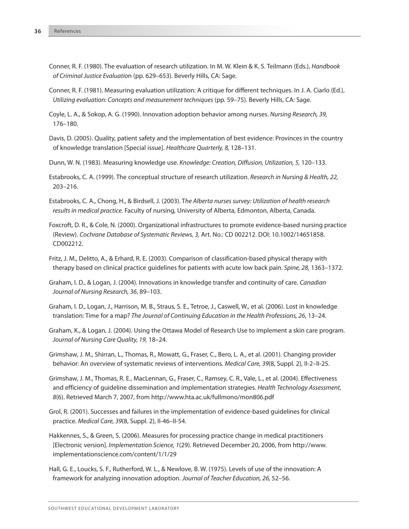- Conner, R. F. (1980). The evaluation of research utilization. In M. W. Klein & K. S. Teilmann (Eds.), *Handbook of Criminal Justice Evaluatio*n (pp. 629–653). Beverly Hills, CA: Sage.
- Conner, R. F. (1981). Measuring evaluation utilization: A critique for different techniques. In J. A. Ciarlo (Ed.), *Utilizing evaluation: Concepts and measurement techniques* (pp. 59–75). Beverly Hills, CA: Sage.
- Coyle, L. A., & Sokop, A. G. (1990). Innovation adoption behavior among nurses. *Nursing Research, 39,*  176–180.
- Davis, D. (2005). Quality, patient safety and the implementation of best evidence: Provinces in the country of knowledge translation [Special issue]. *Healthcare Quarterly, 8,* 128–131.
- Dunn, W. N. (1983). Measuring knowledge use. *Knowledge: Creation, Diffusion, Utilization, 5,* 120–133.
- Estabrooks, C. A. (1999). The conceptual structure of research utilization. *Research in Nursing & Health, 22,*  203–216.
- Estabrooks, C. A., Chong, H., & Birdsell, J. (2003). T*he Alberta nurses survey: Utilization of health research results in medical practice.* Faculty of nursing, University of Alberta, Edmonton, Alberta, Canada.
- Foxcroft, D. R., & Cole, N. (2000). Organizational infrastructures to promote evidence-based nursing practice (Review). *Cochrane Database of Systematic Reviews, 3,* Art. No.: CD 002212. DOI: 10.1002/14651858. CD002212.
- Fritz, J. M., Delitto, A., & Erhard, R. E. (2003). Comparison of classification-based physical therapy with therapy based on clinical practice guidelines for patients with acute low back pain. *Spine, 28,* 1363–1372.
- Graham, I. D., & Logan, J. (2004). Innovations in knowledge transfer and continuity of care. *Canadian Journal of Nursing Research, 36*, 89–103.
- Graham, I. D., Logan, J., Harrison, M. B., Straus, S. E., Tetroe, J., Caswell, W., et al. (2006). Lost in knowledge translation: Time for a map? *The Journal of Continuing Education in the Health Professions, 26*, 13–24.
- Graham, K., & Logan, J. (2004). Using the Ottawa Model of Research Use to implement a skin care program. *Journal of Nursing Care Quality, 19,* 18–24.
- Grimshaw, J. M., Shirran, L., Thomas, R., Mowatt, G., Fraser, C., Bero, L. A., et al. (2001). Changing provider behavior: An overview of systematic reviews of interventions. *Medical Care, 39*(8, Suppl. 2), II-2–II-25.
- Grimshaw, J. M., Thomas, R. E., MacLennan, G., Fraser, C., Ramsey, C. R., Vale, L., et al. (2004). Effectiveness and efficiency of guideline dissemination and implementation strategies. *Health Technology Assessment, 8*(6). Retrieved March 7, 2007, from http://www.hta.ac.uk/fullmono/mon806.pdf
- Grol, R. (2001). Successes and failures in the implementation of evidence-based guidelines for clinical practice. *Medical Care, 39*(8, Suppl. 2), II-46–II-54.
- Hakkennes, S., & Green, S. (2006). Measures for processing practice change in medical practitioners [Electronic version]. *Implementation Science, 1*(29). Retrieved December 20, 2006, from http://www. implementationscience.com/content/1/1/29
- Hall, G. E., Loucks, S. F., Rutherford, W. L., & Newlove, B. W. (1975). Levels of use of the innovation: A framework for analyzing innovation adoption. *Journal of Teacher Education, 26,* 52–56.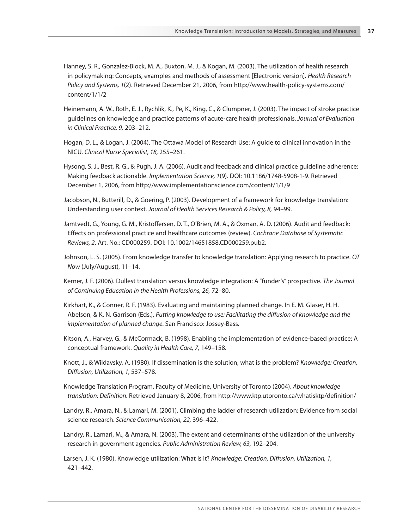- Hanney, S. R., Gonzalez-Block, M. A., Buxton, M. J., & Kogan, M. (2003). The utilization of health research in policymaking: Concepts, examples and methods of assessment [Electronic version]. *Health Research Policy and Systems, 1*(2). Retrieved December 21, 2006, from http://www.health-policy-systems.com/ content/1/1/2
- Heinemann, A. W., Roth, E. J., Rychlik, K., Pe, K., King, C., & Clumpner, J. (2003). The impact of stroke practice guidelines on knowledge and practice patterns of acute-care health professionals. *Journal of Evaluation in Clinical Practice, 9,* 203–212.
- Hogan, D. L., & Logan, J. (2004). The Ottawa Model of Research Use: A guide to clinical innovation in the NICU. *Clinical Nurse Specialist, 18,* 255–261.
- Hysong, S. J., Best, R. G., & Pugh, J. A. (2006). Audit and feedback and clinical practice guideline adherence: Making feedback actionable. *Implementation Science, 1*(9). DOI: 10.1186/1748-5908-1-9. Retrieved December 1, 2006, from http://www.implementationscience.com/content/1/1/9
- Jacobson, N., Butterill, D., & Goering, P. (2003). Development of a framework for knowledge translation: Understanding user context. *Journal of Health Services Research & Policy, 8,* 94–99.
- Jamtvedt, G., Young, G. M., Kristoffersen, D. T., O'Brien, M. A., & Oxman, A. D. (2006). Audit and feedback: Effects on professional practice and healthcare outcomes (review). *Cochrane Database of Systematic Reviews, 2.* Art. No.: CD000259. DOI: 10.1002/14651858.CD000259.pub2.
- Johnson, L. S. (2005). From knowledge transfer to knowledge translation: Applying research to practice. *OT Now* (July/August), 11–14.
- Kerner, J. F. (2006). Dullest translation versus knowledge integration: A "funder's" prospective. *The Journal of Continuing Education in the Health Professions, 26,* 72–80.
- Kirkhart, K., & Conner, R. F. (1983). Evaluating and maintaining planned change. In E. M. Glaser, H. H. Abelson, & K. N. Garrison (Eds.), *Putting knowledge to use: Facilitating the diffusion of knowledge and the implementation of planned change*. San Francisco: Jossey-Bass.
- Kitson, A., Harvey, G., & McCormack, B. (1998). Enabling the implementation of evidence-based practice: A conceptual framework. *Quality in Health Care, 7,* 149–158.
- Knott, J., & Wildavsky, A. (1980). If dissemination is the solution, what is the problem? *Knowledge: Creation, Diffusion, Utilization, 1,* 537–578.
- Knowledge Translation Program, Faculty of Medicine, University of Toronto (2004). *About knowledge translation: Definition.* Retrieved January 8, 2006, from http://www.ktp.utoronto.ca/whatisktp/definition/
- Landry, R., Amara, N., & Lamari, M. (2001). Climbing the ladder of research utilization: Evidence from social science research. *Science Communication, 22,* 396–422.
- Landry, R., Lamari, M., & Amara, N. (2003). The extent and determinants of the utilization of the university research in government agencies. *Public Administration Review, 63,* 192–204.
- Larsen, J. K. (1980). Knowledge utilization: What is it? *Knowledge: Creation, Diffusion, Utilization, 1,* 421–442.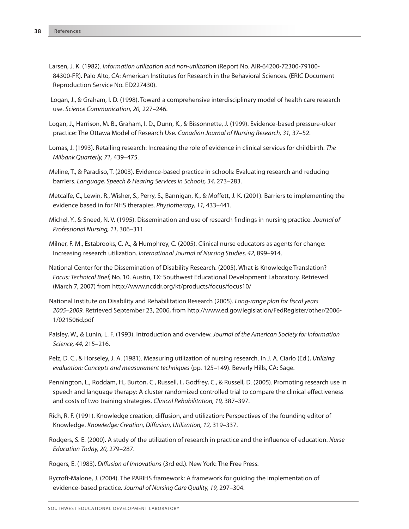- Larsen, J. K. (1982). *Information utilization and non-utilization* (Report No. AIR-64200-72300-79100- 84300-FR). Palo Alto, CA: American Institutes for Research in the Behavioral Sciences. (ERIC Document Reproduction Service No. ED227430).
- Logan, J., & Graham, I. D. (1998). Toward a comprehensive interdisciplinary model of health care research use. *Science Communication, 20,* 227–246.
- Logan, J., Harrison, M. B., Graham, I. D., Dunn, K., & Bissonnette, J. (1999). Evidence-based pressure-ulcer practice: The Ottawa Model of Research Use. *Canadian Journal of Nursing Research, 31,* 37–52.
- Lomas, J. (1993). Retailing research: Increasing the role of evidence in clinical services for childbirth. *The Milbank Quarterly, 71,* 439–475.
- Meline, T., & Paradiso, T. (2003). Evidence-based practice in schools: Evaluating research and reducing barriers. *Language, Speech & Hearing Services in Schools, 34,* 273–283.
- Metcalfe, C., Lewin, R., Wisher, S., Perry, S., Bannigan, K., & Moffett, J. K. (2001). Barriers to implementing the evidence based in for NHS therapies. *Physiotherapy, 11,* 433–441.
- Michel, Y., & Sneed, N. V. (1995). Dissemination and use of research findings in nursing practice. *Journal of Professional Nursing, 11,* 306–311.
- Milner, F. M., Estabrooks, C. A., & Humphrey, C. (2005). Clinical nurse educators as agents for change: Increasing research utilization. *International Journal of Nursing Studies, 42,* 899–914.
- National Center for the Dissemination of Disability Research. (2005). What is Knowledge Translation? *Focus: Technical Brief,* No. 10. Austin, TX: Southwest Educational Development Laboratory. Retrieved (March 7, 2007) from http://www.ncddr.org/kt/products/focus/focus10/
- National Institute on Disability and Rehabilitation Research (2005). *Long-range plan for fiscal years 2005–2009.* Retrieved September 23, 2006, from http://www.ed.gov/legislation/FedRegister/other/2006- 1/021506d.pdf
- Paisley, W., & Lunin, L. F. (1993). Introduction and overview. *Journal of the American Society for Information Science, 44,* 215–216.
- Pelz, D. C., & Horseley, J. A. (1981). Measuring utilization of nursing research. In J. A. Ciarlo (Ed.), *Utilizing evaluation: Concepts and measurement techniques* (pp. 125–149). Beverly Hills, CA: Sage.
- Pennington, L., Roddam, H., Burton, C., Russell, I., Godfrey, C., & Russell, D. (2005). Promoting research use in speech and language therapy: A cluster randomized controlled trial to compare the clinical effectiveness and costs of two training strategies. *Clinical Rehabilitation, 19,* 387–397.
- Rich, R. F. (1991). Knowledge creation, diffusion, and utilization: Perspectives of the founding editor of Knowledge. *Knowledge: Creation, Diffusion, Utilization, 12,* 319–337.
- Rodgers, S. E. (2000). A study of the utilization of research in practice and the influence of education. *Nurse Education Today, 20,* 279–287.
- Rogers, E. (1983). *Diffusion of Innovations* (3rd ed.). New York: The Free Press.
- Rycroft-Malone, J. (2004). The PARIHS framework: A framework for guiding the implementation of evidence-based practice. *Journal of Nursing Care Quality, 19,* 297–304.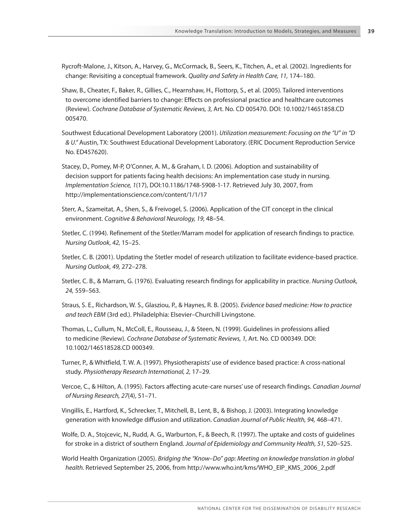- Rycroft-Malone, J., Kitson, A., Harvey, G., McCormack, B., Seers, K., Titchen, A., et al. (2002). Ingredients for change: Revisiting a conceptual framework. *Quality and Safety in Health Care, 11,* 174–180.
- Shaw, B., Cheater, F., Baker, R., Gillies, C., Hearnshaw, H., Flottorp, S., et al. (2005). Tailored interventions to overcome identified barriers to change: Effects on professional practice and healthcare outcomes (Review). *Cochrane Database of Systematic Reviews, 3,* Art. No. CD 005470. DOI: 10.1002/14651858.CD 005470.
- Southwest Educational Development Laboratory (2001). *Utilization measurement: Focusing on the "U" in "D & U."* Austin, TX: Southwest Educational Development Laboratory. (ERIC Document Reproduction Service No. ED457620).
- Stacey, D., Pomey, M-P, O'Conner, A. M., & Graham, I. D. (2006). Adoption and sustainability of decision support for patients facing health decisions: An implementation case study in nursing. *Implementation Science, 1*(17), DOI:10.1186/1748-5908-1-17. Retrieved July 30, 2007, from http://implementationscience.com/content/1/1/17
- Sterr, A., Szameitat, A., Shen, S., & Freivogel, S. (2006). Application of the CIT concept in the clinical environment. *Cognitive & Behavioral Neurology, 19,* 48–54.
- Stetler, C. (1994). Refinement of the Stetler/Marram model for application of research findings to practice. *Nursing Outlook, 42,* 15–25.
- Stetler, C. B. (2001). Updating the Stetler model of research utilization to facilitate evidence-based practice. *Nursing Outlook, 49,* 272–278.
- Stetler, C. B., & Marram, G. (1976). Evaluating research findings for applicability in practice. *Nursing Outlook, 24,* 559–563.
- Straus, S. E., Richardson, W. S., Glasziou, P., & Haynes, R. B. (2005). *Evidence based medicine: How to practice and teach EBM* (3rd ed.). Philadelphia: Elsevier–Churchill Livingstone.
- Thomas, L., Cullum, N., McColl, E., Rousseau, J., & Steen, N. (1999). Guidelines in professions allied to medicine (Review). *Cochrane Database of Systematic Reviews, 1,* Art. No. CD 000349. DOI: 10.1002/146518528.CD 000349.
- Turner, P., & Whitfield, T. W. A. (1997). Physiotherapists' use of evidence based practice: A cross-national study. *Physiotherapy Research International, 2,* 17–29.
- Vercoe, C., & Hilton, A. (1995). Factors affecting acute-care nurses' use of research findings. *Canadian Journal of Nursing Research, 27*(4), 51–71.
- Vingillis, E., Hartford, K., Schrecker, T., Mitchell, B., Lent, B., & Bishop, J. (2003). Integrating knowledge generation with knowledge diffusion and utilization. *Canadian Journal of Public Health, 94,* 468–471.
- Wolfe, D. A., Stojcevic, N., Rudd, A. G., Warburton, F., & Beech, R. (1997). The uptake and costs of guidelines for stroke in a district of southern England. *Journal of Epidemiology and Community Health, 51,* 520–525.
- World Health Organization (2005). *Bridging the "Know–Do" gap: Meeting on knowledge translation in global health.* Retrieved September 25, 2006, from http://www.who.int/kms/WHO\_EIP\_KMS\_2006\_2.pdf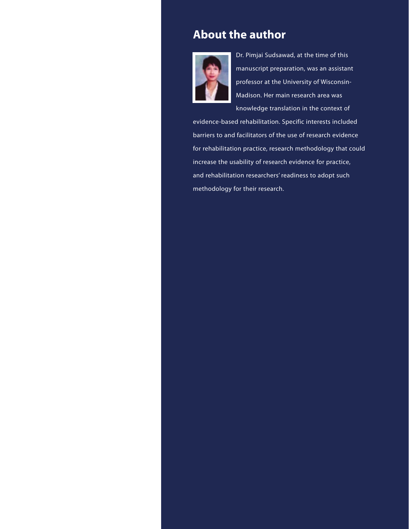### **About the author**



Dr. Pimjai Sudsawad, at the time of this manuscript preparation, was an assistant professor at the University of Wisconsin-Madison. Her main research area was knowledge translation in the context of

evidence-based rehabilitation. Specific interests included barriers to and facilitators of the use of research evidence for rehabilitation practice, research methodology that could increase the usability of research evidence for practice, and rehabilitation researchers' readiness to adopt such methodology for their research.